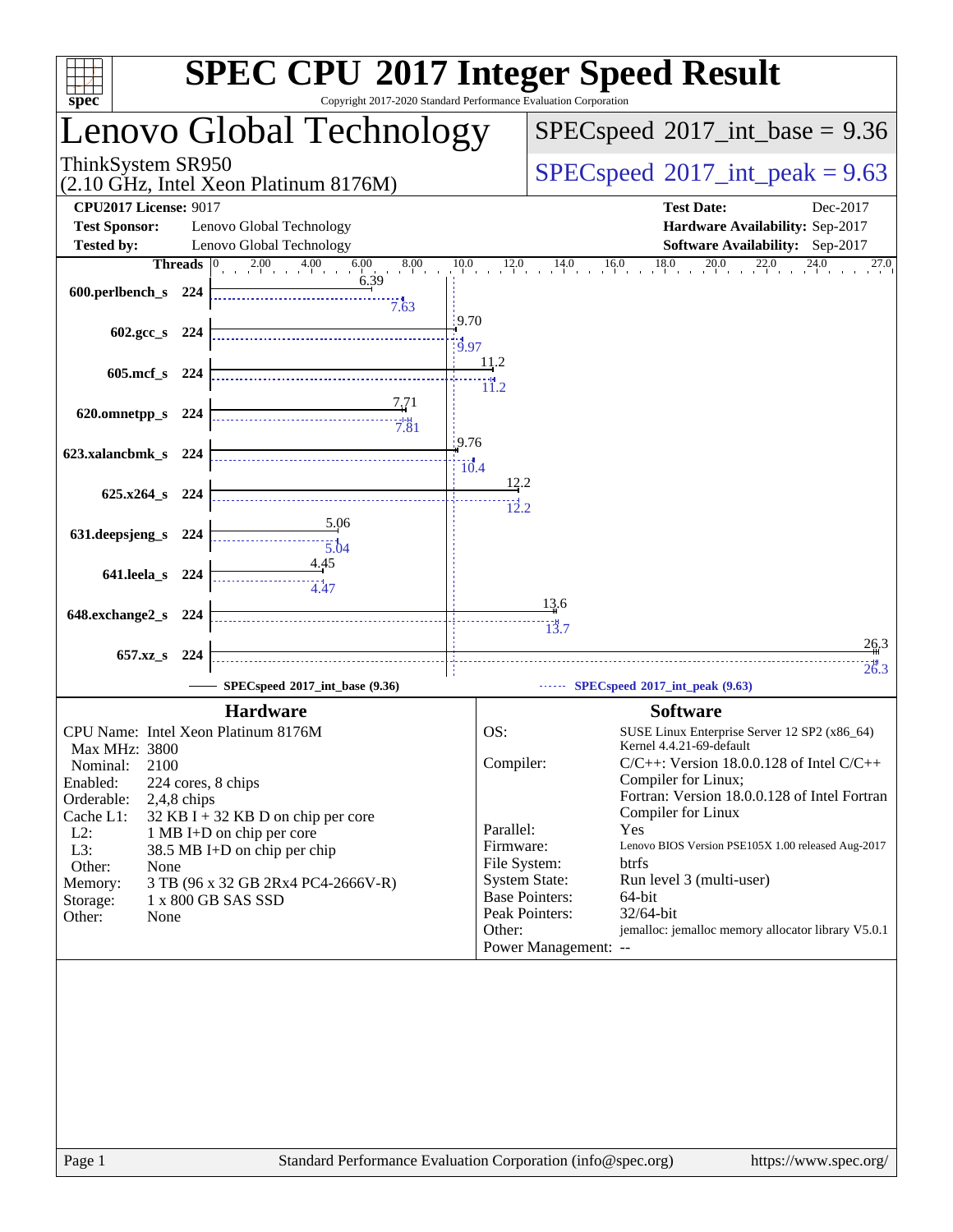| <b>SPEC CPU®2017 Integer Speed Result</b><br>Copyright 2017-2020 Standard Performance Evaluation Corporation<br>$spec^*$                                                                                                                                                                                                                                                                            |                                                                                                                                         |                                                                                                                                                                                                                                                                                                                                                                                                                                      |
|-----------------------------------------------------------------------------------------------------------------------------------------------------------------------------------------------------------------------------------------------------------------------------------------------------------------------------------------------------------------------------------------------------|-----------------------------------------------------------------------------------------------------------------------------------------|--------------------------------------------------------------------------------------------------------------------------------------------------------------------------------------------------------------------------------------------------------------------------------------------------------------------------------------------------------------------------------------------------------------------------------------|
| Lenovo Global Technology                                                                                                                                                                                                                                                                                                                                                                            |                                                                                                                                         | $SPEC speed^{\circ}2017\_int\_base = 9.36$                                                                                                                                                                                                                                                                                                                                                                                           |
| ThinkSystem SR950<br>(2.10 GHz, Intel Xeon Platinum 8176M)                                                                                                                                                                                                                                                                                                                                          |                                                                                                                                         | $SPEC speed^{\circ}2017\_int\_peak = 9.63$                                                                                                                                                                                                                                                                                                                                                                                           |
| <b>CPU2017 License: 9017</b><br><b>Test Sponsor:</b><br>Lenovo Global Technology<br><b>Tested by:</b><br>Lenovo Global Technology                                                                                                                                                                                                                                                                   |                                                                                                                                         | <b>Test Date:</b><br>Dec-2017<br>Hardware Availability: Sep-2017<br><b>Software Availability:</b> Sep-2017                                                                                                                                                                                                                                                                                                                           |
| $2.00$ $4.00$<br>6.00<br><b>Threads</b><br>8.00<br>$\vert 0 \vert$<br>6.39<br>600.perlbench_s 224<br>7.63                                                                                                                                                                                                                                                                                           | 12.0<br>10.0                                                                                                                            | $16.0$ $18.0$<br>$^{20.0}$<br>$^{22,0}$<br>14.0<br>27.0                                                                                                                                                                                                                                                                                                                                                                              |
| 602.gcc s 224                                                                                                                                                                                                                                                                                                                                                                                       | 19.70<br>19.97                                                                                                                          |                                                                                                                                                                                                                                                                                                                                                                                                                                      |
| 605.mcf_s 224                                                                                                                                                                                                                                                                                                                                                                                       | 11.2<br>11.2                                                                                                                            |                                                                                                                                                                                                                                                                                                                                                                                                                                      |
| 7,71<br>620.omnetpp_s<br>-224<br>7.81                                                                                                                                                                                                                                                                                                                                                               | 9.76                                                                                                                                    |                                                                                                                                                                                                                                                                                                                                                                                                                                      |
| 623.xalancbmk_s 224                                                                                                                                                                                                                                                                                                                                                                                 | $\frac{1}{10.4}$<br>12.2                                                                                                                |                                                                                                                                                                                                                                                                                                                                                                                                                                      |
| 625.x264_s 224<br>5.06                                                                                                                                                                                                                                                                                                                                                                              | 12.2                                                                                                                                    |                                                                                                                                                                                                                                                                                                                                                                                                                                      |
| 631.deepsjeng_s<br>224<br>5.04<br>4.45                                                                                                                                                                                                                                                                                                                                                              |                                                                                                                                         |                                                                                                                                                                                                                                                                                                                                                                                                                                      |
| 641.leela_s 224<br>4.47<br>648.exchange2_s<br>224                                                                                                                                                                                                                                                                                                                                                   |                                                                                                                                         | 13.6                                                                                                                                                                                                                                                                                                                                                                                                                                 |
| 657.xz_s<br>-224                                                                                                                                                                                                                                                                                                                                                                                    |                                                                                                                                         | 13.7<br>26.3                                                                                                                                                                                                                                                                                                                                                                                                                         |
| SPECspeed®2017_int_base (9.36)                                                                                                                                                                                                                                                                                                                                                                      |                                                                                                                                         | 26.3<br>SPECspeed®2017_int_peak (9.63)                                                                                                                                                                                                                                                                                                                                                                                               |
| <b>Hardware</b>                                                                                                                                                                                                                                                                                                                                                                                     |                                                                                                                                         | <b>Software</b>                                                                                                                                                                                                                                                                                                                                                                                                                      |
| CPU Name: Intel Xeon Platinum 8176M<br>Max MHz: 3800<br>2100<br>Nominal:<br>Enabled:<br>224 cores, 8 chips<br>Orderable:<br>$2,4,8$ chips<br>$32$ KB I + 32 KB D on chip per core<br>Cache L1:<br>$L2$ :<br>1 MB I+D on chip per core<br>L3:<br>38.5 MB I+D on chip per chip<br>Other:<br>None<br>3 TB (96 x 32 GB 2Rx4 PC4-2666V-R)<br>Memory:<br>1 x 800 GB SAS SSD<br>Storage:<br>Other:<br>None | OS:<br>Compiler:<br>Parallel:<br>Firmware:<br>File System:<br><b>System State:</b><br><b>Base Pointers:</b><br>Peak Pointers:<br>Other: | SUSE Linux Enterprise Server 12 SP2 (x86_64)<br>Kernel 4.4.21-69-default<br>$C/C++$ : Version 18.0.0.128 of Intel $C/C++$<br>Compiler for Linux;<br>Fortran: Version 18.0.0.128 of Intel Fortran<br>Compiler for Linux<br>Yes<br>Lenovo BIOS Version PSE105X 1.00 released Aug-2017<br><b>btrfs</b><br>Run level 3 (multi-user)<br>64-bit<br>32/64-bit<br>jemalloc: jemalloc memory allocator library V5.0.1<br>Power Management: -- |
| Standard Performance Evaluation Corporation (info@spec.org)<br>Page 1                                                                                                                                                                                                                                                                                                                               |                                                                                                                                         | https://www.spec.org/                                                                                                                                                                                                                                                                                                                                                                                                                |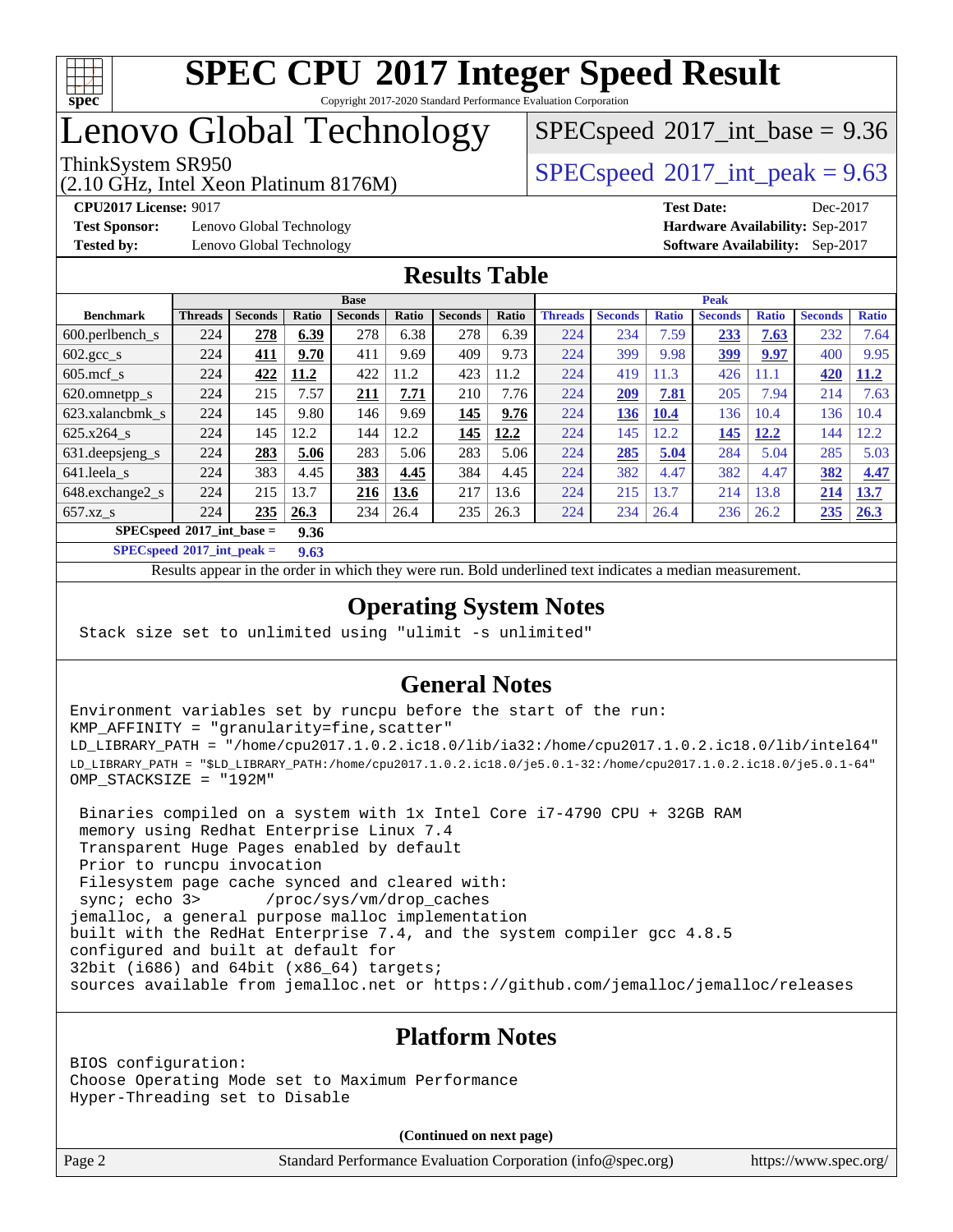

# Lenovo Global Technology

(2.10 GHz, Intel Xeon Platinum 8176M)

 $SPECspeed^{\circ}2017\_int\_base = 9.36$  $SPECspeed^{\circ}2017\_int\_base = 9.36$ 

ThinkSystem SR950<br>  $SPECspeed^{\circ}2017$  $SPECspeed^{\circ}2017$  int\_peak = 9.63

**[Test Sponsor:](http://www.spec.org/auto/cpu2017/Docs/result-fields.html#TestSponsor)** Lenovo Global Technology **[Hardware Availability:](http://www.spec.org/auto/cpu2017/Docs/result-fields.html#HardwareAvailability)** Sep-2017

**[CPU2017 License:](http://www.spec.org/auto/cpu2017/Docs/result-fields.html#CPU2017License)** 9017 **[Test Date:](http://www.spec.org/auto/cpu2017/Docs/result-fields.html#TestDate)** Dec-2017 **[Tested by:](http://www.spec.org/auto/cpu2017/Docs/result-fields.html#Testedby)** Lenovo Global Technology **[Software Availability:](http://www.spec.org/auto/cpu2017/Docs/result-fields.html#SoftwareAvailability)** Sep-2017

#### **[Results Table](http://www.spec.org/auto/cpu2017/Docs/result-fields.html#ResultsTable)**

|                                             | <b>Base</b>    |                |       |                |       | <b>Peak</b>    |       |                |                |              |                |              |                |              |
|---------------------------------------------|----------------|----------------|-------|----------------|-------|----------------|-------|----------------|----------------|--------------|----------------|--------------|----------------|--------------|
| <b>Benchmark</b>                            | <b>Threads</b> | <b>Seconds</b> | Ratio | <b>Seconds</b> | Ratio | <b>Seconds</b> | Ratio | <b>Threads</b> | <b>Seconds</b> | <b>Ratio</b> | <b>Seconds</b> | <b>Ratio</b> | <b>Seconds</b> | <b>Ratio</b> |
| 600.perlbench s                             | 224            | 278            | 6.39  | 278            | 6.38  | 278            | 6.39  | 224            | 234            | 7.59         | 233            | 7.63         | 232            | 7.64         |
| $602.\text{gcc}\_\text{s}$                  | 224            | 411            | 9.70  | 411            | 9.69  | 409            | 9.73  | 224            | 399            | 9.98         | <u>399</u>     | 9.97         | 400            | 9.95         |
| $605$ .mcf s                                | 224            | 422            | 11.2  | 422            | 11.2  | 423            | 11.2  | 224            | 419            | 11.3         | 426            | 11.1         | 420            | 11.2         |
| 620.omnetpp_s                               | 224            | 215            | 7.57  | <u>211</u>     | 7.71  | 210            | 7.76  | 224            | 209            | 7.81         | 205            | 7.94         | 214            | 7.63         |
| 623.xalancbmk s                             | 224            | 145            | 9.80  | 146            | 9.69  | 145            | 9.76  | 224            | 136            | 10.4         | 136            | 10.4         | 136            | 10.4         |
| $625.x264$ s                                | 224            | 145            | 12.2  | 144            | 12.2  | 145            | 12.2  | 224            | 145            | 12.2         | 145            | 12.2         | 144            | 12.2         |
| 631. deepsjeng_s                            | 224            | 283            | 5.06  | 283            | 5.06  | 283            | 5.06  | 224            | 285            | 5.04         | 284            | 5.04         | 285            | 5.03         |
| 641.leela s                                 | 224            | 383            | 4.45  | 383            | 4.45  | 384            | 4.45  | 224            | 382            | 4.47         | 382            | 4.47         | 382            | 4.47         |
| 648.exchange2_s                             | 224            | 215            | 13.7  | 216            | 13.6  | 217            | 13.6  | 224            | 215            | .3.7         | 214            | 13.8         | 214            | 13.7         |
| $657.xz$ s                                  | 224            | 235            | 26.3  | 234            | 26.4  | 235            | 26.3  | 224            | 234            | 26.4         | 236            | 26.2         | 235            | 26.3         |
| $SPECspeed^{\circ 2017}$ int base =<br>9.36 |                |                |       |                |       |                |       |                |                |              |                |              |                |              |

**[SPECspeed](http://www.spec.org/auto/cpu2017/Docs/result-fields.html#SPECspeed2017intpeak)[2017\\_int\\_peak =](http://www.spec.org/auto/cpu2017/Docs/result-fields.html#SPECspeed2017intpeak) 9.63**

Results appear in the [order in which they were run.](http://www.spec.org/auto/cpu2017/Docs/result-fields.html#RunOrder) Bold underlined text [indicates a median measurement](http://www.spec.org/auto/cpu2017/Docs/result-fields.html#Median).

#### **[Operating System Notes](http://www.spec.org/auto/cpu2017/Docs/result-fields.html#OperatingSystemNotes)**

Stack size set to unlimited using "ulimit -s unlimited"

#### **[General Notes](http://www.spec.org/auto/cpu2017/Docs/result-fields.html#GeneralNotes)**

Environment variables set by runcpu before the start of the run: KMP\_AFFINITY = "granularity=fine,scatter" LD\_LIBRARY\_PATH = "/home/cpu2017.1.0.2.ic18.0/lib/ia32:/home/cpu2017.1.0.2.ic18.0/lib/intel64" LD\_LIBRARY\_PATH = "\$LD\_LIBRARY\_PATH:/home/cpu2017.1.0.2.ic18.0/je5.0.1-32:/home/cpu2017.1.0.2.ic18.0/je5.0.1-64" OMP\_STACKSIZE = "192M"

 Binaries compiled on a system with 1x Intel Core i7-4790 CPU + 32GB RAM memory using Redhat Enterprise Linux 7.4 Transparent Huge Pages enabled by default Prior to runcpu invocation Filesystem page cache synced and cleared with: sync; echo 3> /proc/sys/vm/drop\_caches jemalloc, a general purpose malloc implementation built with the RedHat Enterprise 7.4, and the system compiler gcc 4.8.5 configured and built at default for 32bit (i686) and 64bit (x86\_64) targets; sources available from jemalloc.net or <https://github.com/jemalloc/jemalloc/releases>

#### **[Platform Notes](http://www.spec.org/auto/cpu2017/Docs/result-fields.html#PlatformNotes)**

BIOS configuration: Choose Operating Mode set to Maximum Performance Hyper-Threading set to Disable

**(Continued on next page)**

Page 2 Standard Performance Evaluation Corporation [\(info@spec.org\)](mailto:info@spec.org) <https://www.spec.org/>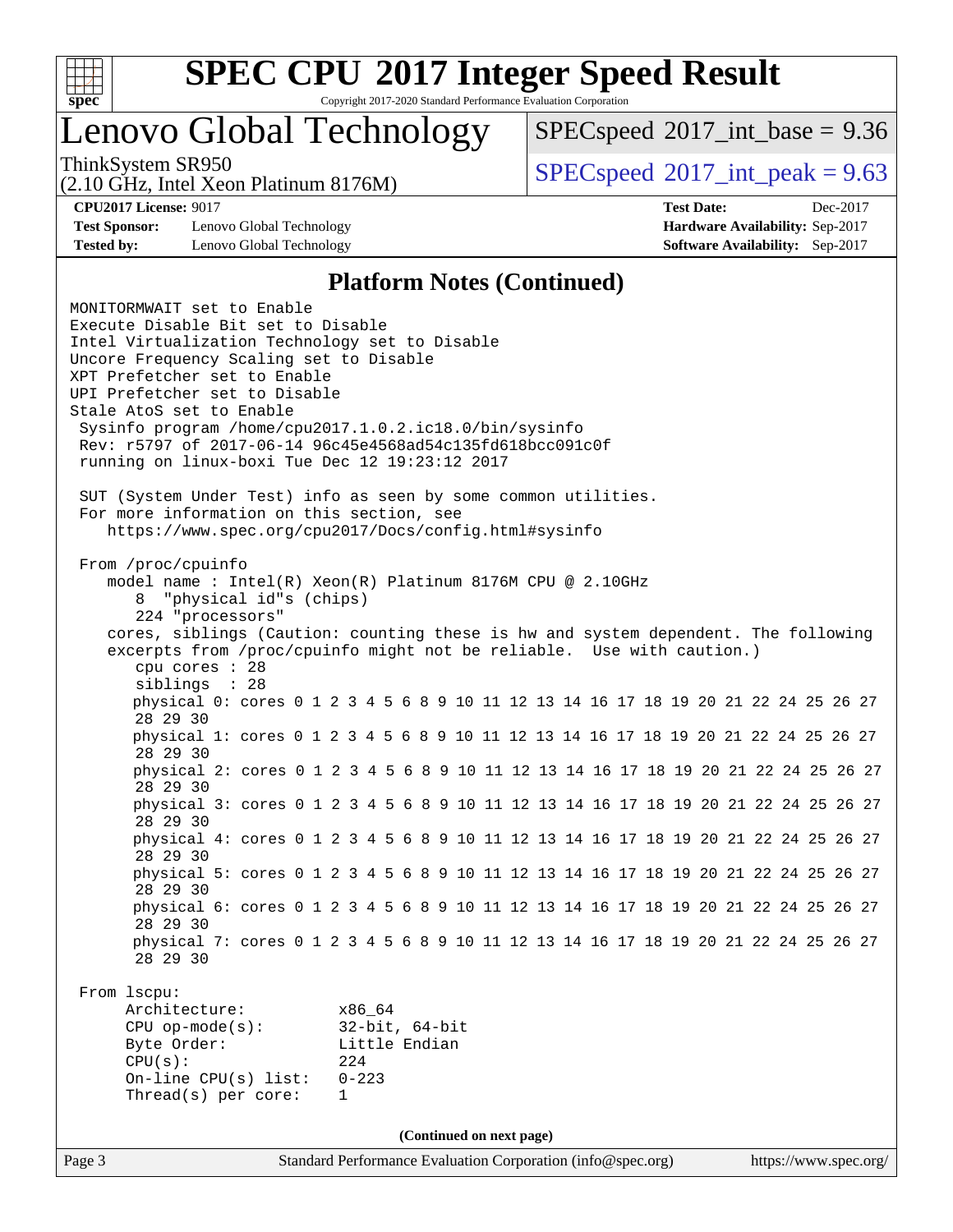

# Lenovo Global Technology

 $SPECspeed^{\circ}2017\_int\_base = 9.36$  $SPECspeed^{\circ}2017\_int\_base = 9.36$ 

(2.10 GHz, Intel Xeon Platinum 8176M)

ThinkSystem SR950<br>  $SPECspeed^{\circ}2017$  $SPECspeed^{\circ}2017$  int\_peak = 9.63

**[Test Sponsor:](http://www.spec.org/auto/cpu2017/Docs/result-fields.html#TestSponsor)** Lenovo Global Technology **[Hardware Availability:](http://www.spec.org/auto/cpu2017/Docs/result-fields.html#HardwareAvailability)** Sep-2017 **[Tested by:](http://www.spec.org/auto/cpu2017/Docs/result-fields.html#Testedby)** Lenovo Global Technology **[Software Availability:](http://www.spec.org/auto/cpu2017/Docs/result-fields.html#SoftwareAvailability)** Sep-2017

**[CPU2017 License:](http://www.spec.org/auto/cpu2017/Docs/result-fields.html#CPU2017License)** 9017 **[Test Date:](http://www.spec.org/auto/cpu2017/Docs/result-fields.html#TestDate)** Dec-2017

#### **[Platform Notes \(Continued\)](http://www.spec.org/auto/cpu2017/Docs/result-fields.html#PlatformNotes)**

Page 3 Standard Performance Evaluation Corporation [\(info@spec.org\)](mailto:info@spec.org) <https://www.spec.org/> MONITORMWAIT set to Enable Execute Disable Bit set to Disable Intel Virtualization Technology set to Disable Uncore Frequency Scaling set to Disable XPT Prefetcher set to Enable UPI Prefetcher set to Disable Stale AtoS set to Enable Sysinfo program /home/cpu2017.1.0.2.ic18.0/bin/sysinfo Rev: r5797 of 2017-06-14 96c45e4568ad54c135fd618bcc091c0f running on linux-boxi Tue Dec 12 19:23:12 2017 SUT (System Under Test) info as seen by some common utilities. For more information on this section, see <https://www.spec.org/cpu2017/Docs/config.html#sysinfo> From /proc/cpuinfo model name : Intel(R) Xeon(R) Platinum 8176M CPU @ 2.10GHz 8 "physical id"s (chips) 224 "processors" cores, siblings (Caution: counting these is hw and system dependent. The following excerpts from /proc/cpuinfo might not be reliable. Use with caution.) cpu cores : 28 siblings : 28 physical 0: cores 0 1 2 3 4 5 6 8 9 10 11 12 13 14 16 17 18 19 20 21 22 24 25 26 27 28 29 30 physical 1: cores 0 1 2 3 4 5 6 8 9 10 11 12 13 14 16 17 18 19 20 21 22 24 25 26 27 28 29 30 physical 2: cores 0 1 2 3 4 5 6 8 9 10 11 12 13 14 16 17 18 19 20 21 22 24 25 26 27 28 29 30 physical 3: cores 0 1 2 3 4 5 6 8 9 10 11 12 13 14 16 17 18 19 20 21 22 24 25 26 27 28 29 30 physical 4: cores 0 1 2 3 4 5 6 8 9 10 11 12 13 14 16 17 18 19 20 21 22 24 25 26 27 28 29 30 physical 5: cores 0 1 2 3 4 5 6 8 9 10 11 12 13 14 16 17 18 19 20 21 22 24 25 26 27 28 29 30 physical 6: cores 0 1 2 3 4 5 6 8 9 10 11 12 13 14 16 17 18 19 20 21 22 24 25 26 27 28 29 30 physical 7: cores 0 1 2 3 4 5 6 8 9 10 11 12 13 14 16 17 18 19 20 21 22 24 25 26 27 28 29 30 From lscpu: Architecture: x86\_64 CPU op-mode(s): 32-bit, 64-bit Byte Order: Little Endian CPU(s): 224 On-line CPU(s) list: 0-223 Thread(s) per core: 1 **(Continued on next page)**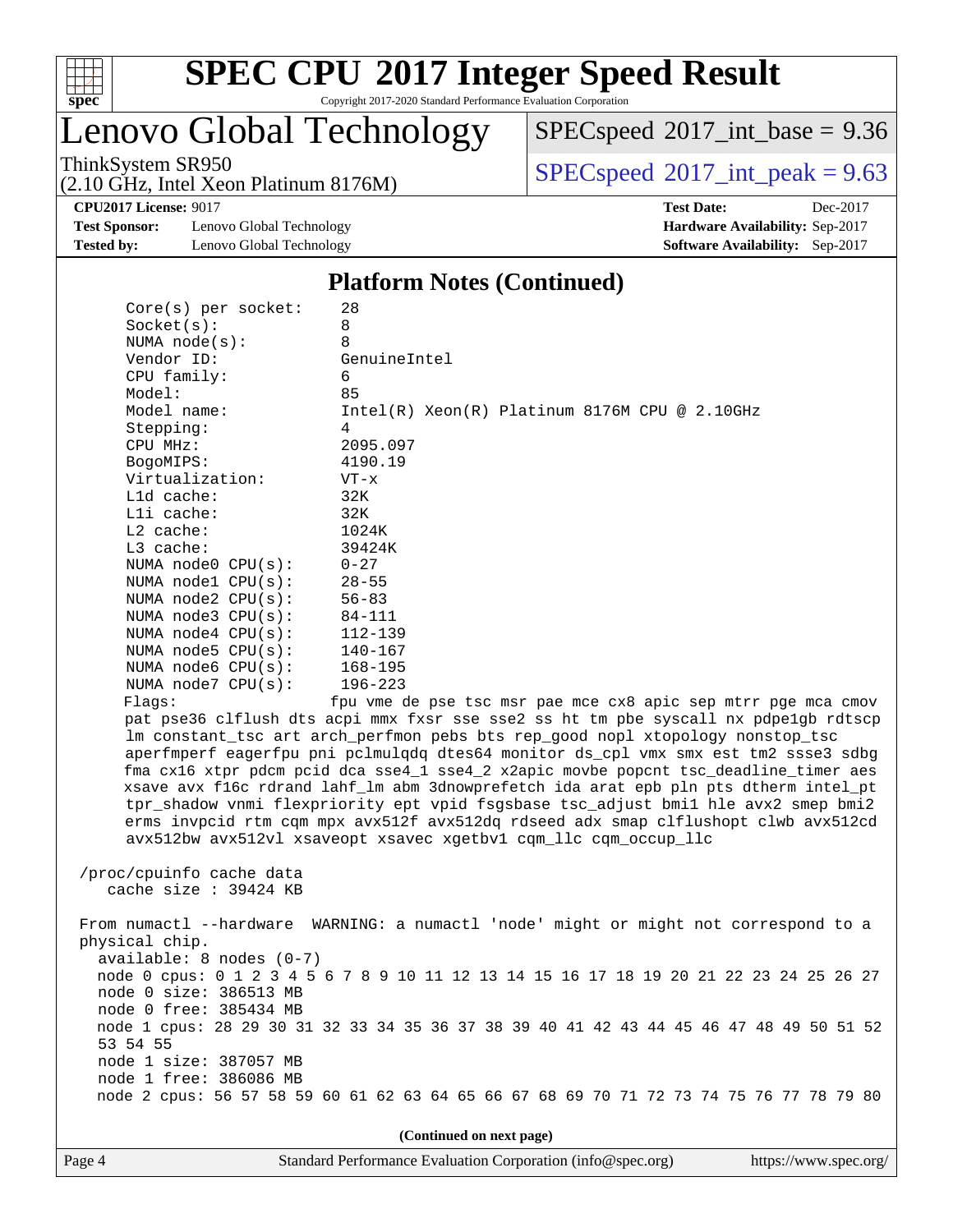

Lenovo Global Technology

(2.10 GHz, Intel Xeon Platinum 8176M)

 $SPEC speed$ <sup>®</sup> $2017$ \_int\_base = 9.36

ThinkSystem SR950<br>  $(2.10 \text{ GHz. Intel Yoon Plitium } 8176M)$  [SPECspeed](http://www.spec.org/auto/cpu2017/Docs/result-fields.html#SPECspeed2017intpeak)<sup>®</sup>[2017\\_int\\_peak = 9](http://www.spec.org/auto/cpu2017/Docs/result-fields.html#SPECspeed2017intpeak).63

**[Test Sponsor:](http://www.spec.org/auto/cpu2017/Docs/result-fields.html#TestSponsor)** Lenovo Global Technology **[Hardware Availability:](http://www.spec.org/auto/cpu2017/Docs/result-fields.html#HardwareAvailability)** Sep-2017 **[Tested by:](http://www.spec.org/auto/cpu2017/Docs/result-fields.html#Testedby)** Lenovo Global Technology **[Software Availability:](http://www.spec.org/auto/cpu2017/Docs/result-fields.html#SoftwareAvailability)** Sep-2017

**[CPU2017 License:](http://www.spec.org/auto/cpu2017/Docs/result-fields.html#CPU2017License)** 9017 **[Test Date:](http://www.spec.org/auto/cpu2017/Docs/result-fields.html#TestDate)** Dec-2017

#### **[Platform Notes \(Continued\)](http://www.spec.org/auto/cpu2017/Docs/result-fields.html#PlatformNotes)**

| $Core(s)$ per socket:                                                                                                                                               | 28                                                                                      |  |  |  |
|---------------------------------------------------------------------------------------------------------------------------------------------------------------------|-----------------------------------------------------------------------------------------|--|--|--|
| Socket(s):                                                                                                                                                          | 8                                                                                       |  |  |  |
| NUMA $node(s):$                                                                                                                                                     | 8                                                                                       |  |  |  |
| Vendor ID:                                                                                                                                                          | GenuineIntel                                                                            |  |  |  |
| CPU family:                                                                                                                                                         | 6                                                                                       |  |  |  |
| Model:                                                                                                                                                              | 85                                                                                      |  |  |  |
| Model name:                                                                                                                                                         | $Intel(R) Xeon(R) Platinum 8176M CPU @ 2.10GHz$                                         |  |  |  |
| Stepping:                                                                                                                                                           | 4                                                                                       |  |  |  |
| CPU MHz:                                                                                                                                                            | 2095.097                                                                                |  |  |  |
| BogoMIPS:                                                                                                                                                           | 4190.19                                                                                 |  |  |  |
| Virtualization:                                                                                                                                                     | $VT - x$                                                                                |  |  |  |
| L1d cache:                                                                                                                                                          | 32K                                                                                     |  |  |  |
| Lli cache:                                                                                                                                                          | 32K                                                                                     |  |  |  |
| $L2$ cache:                                                                                                                                                         | 1024K                                                                                   |  |  |  |
| L3 cache:                                                                                                                                                           | 39424K                                                                                  |  |  |  |
| NUMA node0 CPU(s):                                                                                                                                                  | $0 - 27$                                                                                |  |  |  |
| NUMA nodel CPU(s):                                                                                                                                                  | $28 - 55$                                                                               |  |  |  |
| NUMA $node2$ $CPU(s):$                                                                                                                                              | $56 - 83$                                                                               |  |  |  |
| NUMA node3 CPU(s):                                                                                                                                                  | 84-111                                                                                  |  |  |  |
| NUMA $node4$ $CPU(s):$                                                                                                                                              | 112-139                                                                                 |  |  |  |
| NUMA node5 CPU(s):                                                                                                                                                  | 140-167                                                                                 |  |  |  |
| NUMA node6 CPU(s):                                                                                                                                                  | 168-195                                                                                 |  |  |  |
| NUMA $node7$ CPU $(s)$ :                                                                                                                                            | $196 - 223$                                                                             |  |  |  |
|                                                                                                                                                                     |                                                                                         |  |  |  |
| Flags:                                                                                                                                                              | fpu vme de pse tsc msr pae mce cx8 apic sep mtrr pge mca cmov                           |  |  |  |
| pat pse36 clflush dts acpi mmx fxsr sse sse2 ss ht tm pbe syscall nx pdpelgb rdtscp                                                                                 |                                                                                         |  |  |  |
| lm constant_tsc art arch_perfmon pebs bts rep_good nopl xtopology nonstop_tsc<br>aperfmperf eagerfpu pni pclmulqdq dtes64 monitor ds_cpl vmx smx est tm2 ssse3 sdbg |                                                                                         |  |  |  |
|                                                                                                                                                                     |                                                                                         |  |  |  |
|                                                                                                                                                                     | fma cx16 xtpr pdcm pcid dca sse4_1 sse4_2 x2apic movbe popcnt tsc_deadline_timer aes    |  |  |  |
|                                                                                                                                                                     | xsave avx f16c rdrand lahf_lm abm 3dnowprefetch ida arat epb pln pts dtherm intel_pt    |  |  |  |
|                                                                                                                                                                     | tpr_shadow vnmi flexpriority ept vpid fsgsbase tsc_adjust bmil hle avx2 smep bmi2       |  |  |  |
|                                                                                                                                                                     | erms invpcid rtm cqm mpx avx512f avx512dq rdseed adx smap clflushopt clwb avx512cd      |  |  |  |
|                                                                                                                                                                     | avx512bw avx512vl xsaveopt xsavec xgetbvl cqm_llc cqm_occup_llc                         |  |  |  |
|                                                                                                                                                                     |                                                                                         |  |  |  |
| /proc/cpuinfo cache data                                                                                                                                            |                                                                                         |  |  |  |
| cache size : 39424 KB                                                                                                                                               |                                                                                         |  |  |  |
|                                                                                                                                                                     |                                                                                         |  |  |  |
|                                                                                                                                                                     | From numactl --hardware WARNING: a numactl 'node' might or might not correspond to a    |  |  |  |
| physical chip.                                                                                                                                                      |                                                                                         |  |  |  |
| $available: 8 nodes (0-7)$                                                                                                                                          |                                                                                         |  |  |  |
|                                                                                                                                                                     | node 0 cpus: 0 1 2 3 4 5 6 7 8 9 10 11 12 13 14 15 16 17 18 19 20 21 22 23 24 25 26 27  |  |  |  |
| node 0 size: 386513 MB                                                                                                                                              |                                                                                         |  |  |  |
| node 0 free: 385434 MB                                                                                                                                              |                                                                                         |  |  |  |
|                                                                                                                                                                     | node 1 cpus: 28 29 30 31 32 33 34 35 36 37 38 39 40 41 42 43 44 45 46 47 48 49 50 51 52 |  |  |  |
| 53 54 55                                                                                                                                                            |                                                                                         |  |  |  |
| node 1 size: 387057 MB                                                                                                                                              |                                                                                         |  |  |  |
| node 1 free: 386086 MB                                                                                                                                              |                                                                                         |  |  |  |
|                                                                                                                                                                     | node 2 cpus: 56 57 58 59 60 61 62 63 64 65 66 67 68 69 70 71 72 73 74 75 76 77 78 79 80 |  |  |  |
|                                                                                                                                                                     |                                                                                         |  |  |  |
|                                                                                                                                                                     | (Continued on next page)                                                                |  |  |  |
|                                                                                                                                                                     |                                                                                         |  |  |  |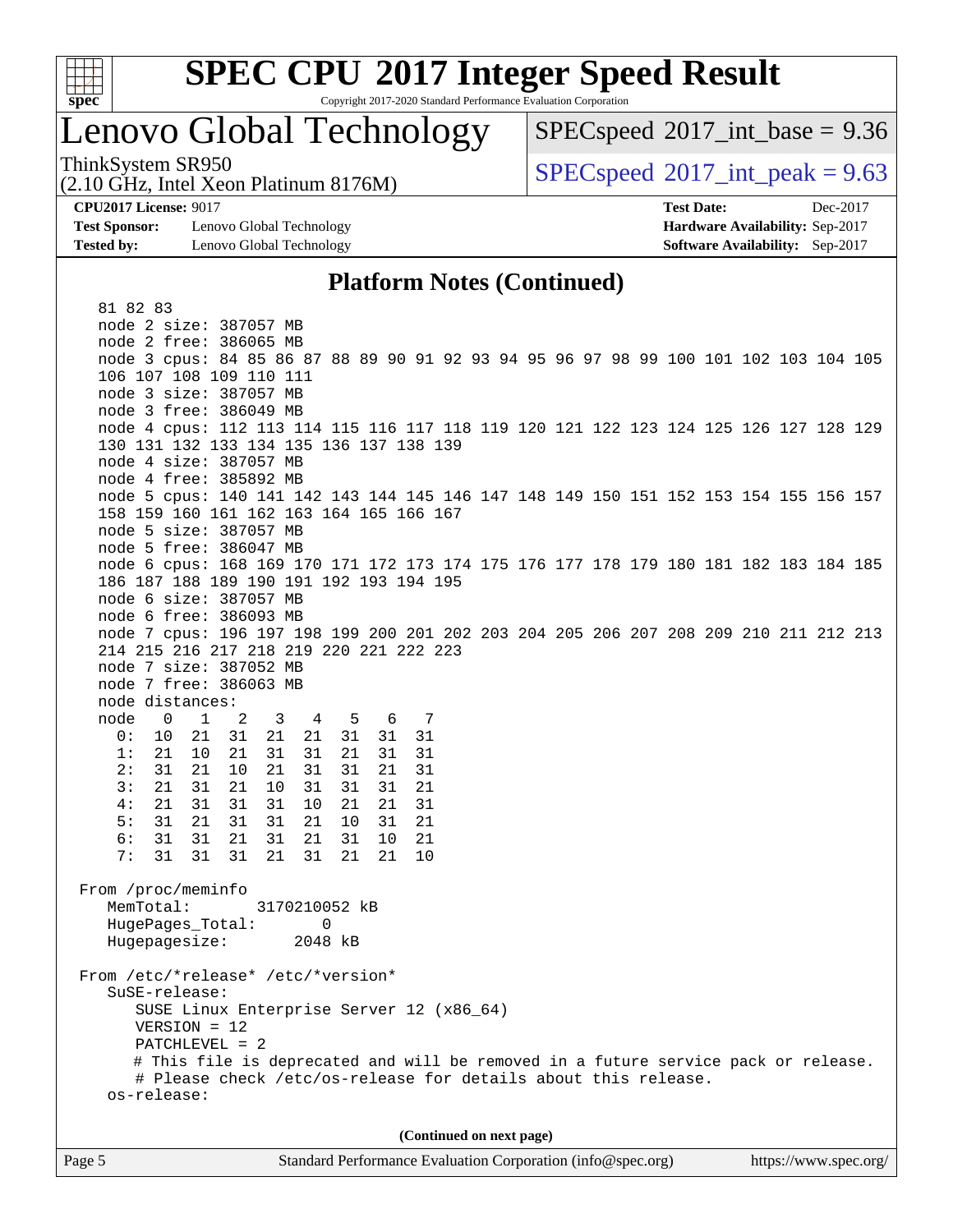

# **[SPEC CPU](http://www.spec.org/auto/cpu2017/Docs/result-fields.html#SPECCPU2017IntegerSpeedResult)[2017 Integer Speed Result](http://www.spec.org/auto/cpu2017/Docs/result-fields.html#SPECCPU2017IntegerSpeedResult)**

Copyright 2017-2020 Standard Performance Evaluation Corporation

# Lenovo Global Technology

 $SPECspeed^{\circ}2017\_int\_base = 9.36$  $SPECspeed^{\circ}2017\_int\_base = 9.36$ 

(2.10 GHz, Intel Xeon Platinum 8176M)

ThinkSystem SR950<br>  $SPECspeed^{\circ}2017$  $SPECspeed^{\circ}2017$  int\_peak = 9.63

**[Test Sponsor:](http://www.spec.org/auto/cpu2017/Docs/result-fields.html#TestSponsor)** Lenovo Global Technology **[Hardware Availability:](http://www.spec.org/auto/cpu2017/Docs/result-fields.html#HardwareAvailability)** Sep-2017 **[Tested by:](http://www.spec.org/auto/cpu2017/Docs/result-fields.html#Testedby)** Lenovo Global Technology **[Software Availability:](http://www.spec.org/auto/cpu2017/Docs/result-fields.html#SoftwareAvailability)** Sep-2017

**[CPU2017 License:](http://www.spec.org/auto/cpu2017/Docs/result-fields.html#CPU2017License)** 9017 **[Test Date:](http://www.spec.org/auto/cpu2017/Docs/result-fields.html#TestDate)** Dec-2017

#### **[Platform Notes \(Continued\)](http://www.spec.org/auto/cpu2017/Docs/result-fields.html#PlatformNotes)**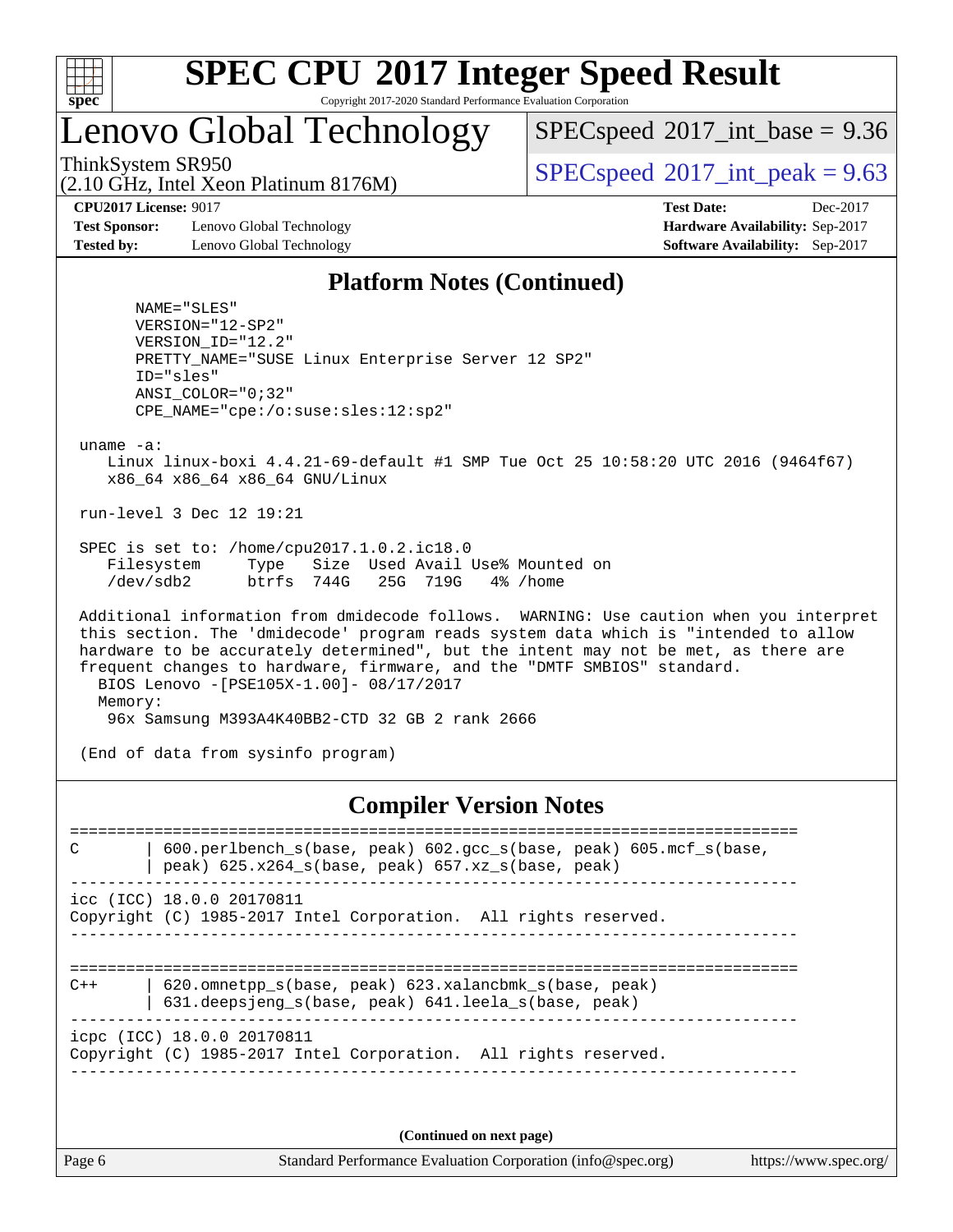

# **[SPEC CPU](http://www.spec.org/auto/cpu2017/Docs/result-fields.html#SPECCPU2017IntegerSpeedResult)[2017 Integer Speed Result](http://www.spec.org/auto/cpu2017/Docs/result-fields.html#SPECCPU2017IntegerSpeedResult)**

Copyright 2017-2020 Standard Performance Evaluation Corporation

# Lenovo Global Technology

(2.10 GHz, Intel Xeon Platinum 8176M)

 $SPECspeed^{\circ}2017\_int\_base = 9.36$  $SPECspeed^{\circ}2017\_int\_base = 9.36$ 

ThinkSystem SR950<br>  $SPECspeed^{\circ}2017$  $SPECspeed^{\circ}2017$  int\_peak = 9.63

**[Test Sponsor:](http://www.spec.org/auto/cpu2017/Docs/result-fields.html#TestSponsor)** Lenovo Global Technology **[Hardware Availability:](http://www.spec.org/auto/cpu2017/Docs/result-fields.html#HardwareAvailability)** Sep-2017 **[Tested by:](http://www.spec.org/auto/cpu2017/Docs/result-fields.html#Testedby)** Lenovo Global Technology **[Software Availability:](http://www.spec.org/auto/cpu2017/Docs/result-fields.html#SoftwareAvailability)** Sep-2017

**[CPU2017 License:](http://www.spec.org/auto/cpu2017/Docs/result-fields.html#CPU2017License)** 9017 **[Test Date:](http://www.spec.org/auto/cpu2017/Docs/result-fields.html#TestDate)** Dec-2017

#### **[Platform Notes \(Continued\)](http://www.spec.org/auto/cpu2017/Docs/result-fields.html#PlatformNotes)**

 NAME="SLES" VERSION="12-SP2" VERSION\_ID="12.2" PRETTY\_NAME="SUSE Linux Enterprise Server 12 SP2" ID="sles" ANSI\_COLOR="0;32" CPE\_NAME="cpe:/o:suse:sles:12:sp2"

uname -a:

 Linux linux-boxi 4.4.21-69-default #1 SMP Tue Oct 25 10:58:20 UTC 2016 (9464f67) x86\_64 x86\_64 x86\_64 GNU/Linux

run-level 3 Dec 12 19:21

 SPEC is set to: /home/cpu2017.1.0.2.ic18.0 Filesystem Type Size Used Avail Use% Mounted on<br>
/dev/sdb2 btrfs 744G 25G 719G 4% /home /dev/sdb2 btrfs 744G 25G 719G 4% /home

 Additional information from dmidecode follows. WARNING: Use caution when you interpret this section. The 'dmidecode' program reads system data which is "intended to allow hardware to be accurately determined", but the intent may not be met, as there are frequent changes to hardware, firmware, and the "DMTF SMBIOS" standard. BIOS Lenovo -[PSE105X-1.00]- 08/17/2017 Memory: 96x Samsung M393A4K40BB2-CTD 32 GB 2 rank 2666

(End of data from sysinfo program)

**[Compiler Version Notes](http://www.spec.org/auto/cpu2017/Docs/result-fields.html#CompilerVersionNotes)**

============================================================================== C | 600.perlbench\_s(base, peak) 602.gcc\_s(base, peak) 605.mcf\_s(base,  $|$  peak) 625.x264\_s(base, peak) 657.xz\_s(base, peak) ----------------------------------------------------------------------------- icc (ICC) 18.0.0 20170811 Copyright (C) 1985-2017 Intel Corporation. All rights reserved. ------------------------------------------------------------------------------ ============================================================================== C++ | 620.omnetpp\_s(base, peak) 623.xalancbmk\_s(base, peak) | 631.deepsjeng\_s(base, peak) 641.leela\_s(base, peak) ----------------------------------------------------------------------------- icpc (ICC) 18.0.0 20170811 Copyright (C) 1985-2017 Intel Corporation. All rights reserved. ------------------------------------------------------------------------------

**(Continued on next page)**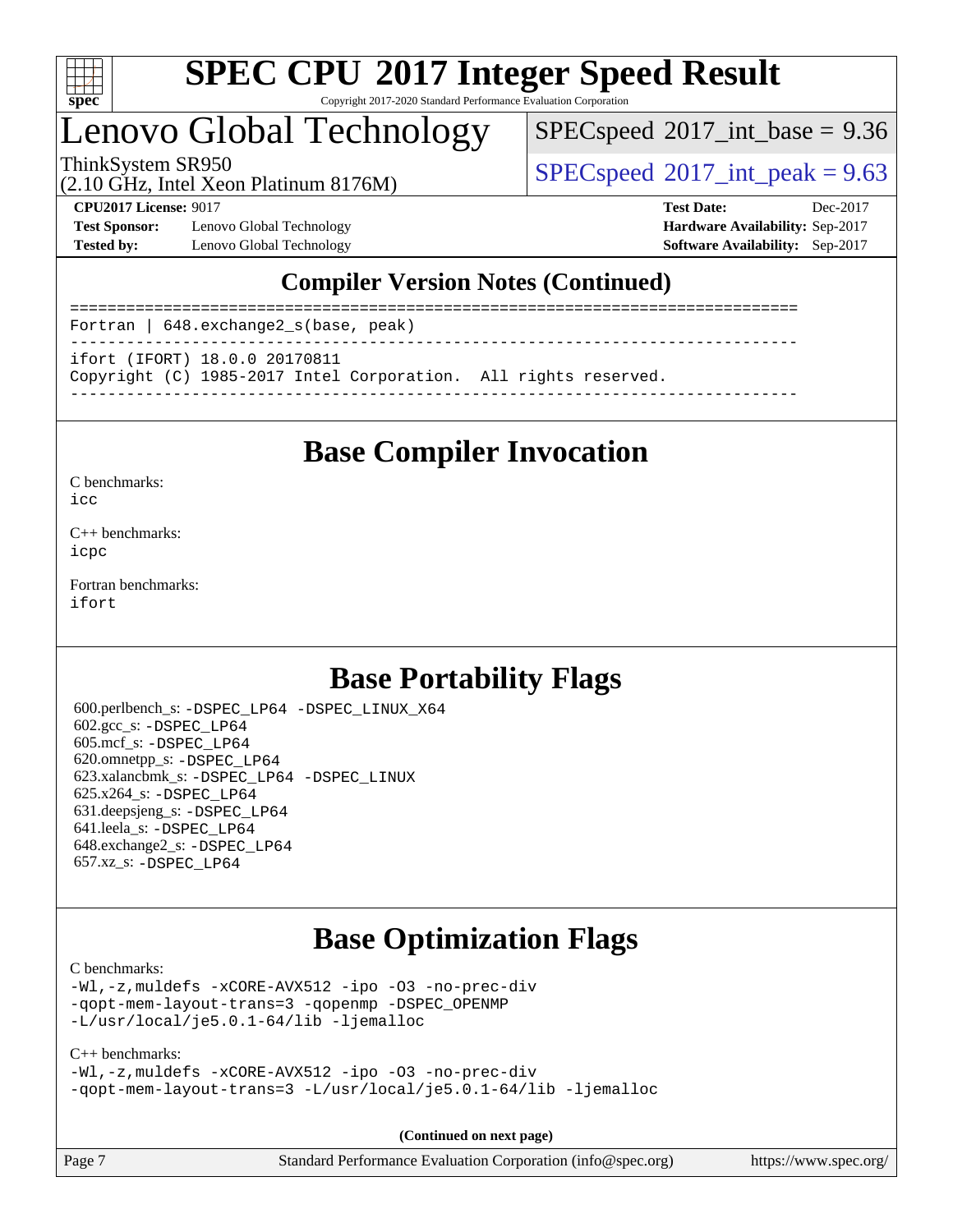

# **[SPEC CPU](http://www.spec.org/auto/cpu2017/Docs/result-fields.html#SPECCPU2017IntegerSpeedResult)[2017 Integer Speed Result](http://www.spec.org/auto/cpu2017/Docs/result-fields.html#SPECCPU2017IntegerSpeedResult)**

Copyright 2017-2020 Standard Performance Evaluation Corporation

# Lenovo Global Technology

 $SPECspeed^{\circ}2017\_int\_base = 9.36$  $SPECspeed^{\circ}2017\_int\_base = 9.36$ 

(2.10 GHz, Intel Xeon Platinum 8176M)

ThinkSystem SR950<br>  $SPECspeed^{\circ}2017$  $SPECspeed^{\circ}2017$ \_int\_peak = 9.63

**[Test Sponsor:](http://www.spec.org/auto/cpu2017/Docs/result-fields.html#TestSponsor)** Lenovo Global Technology **[Hardware Availability:](http://www.spec.org/auto/cpu2017/Docs/result-fields.html#HardwareAvailability)** Sep-2017 **[Tested by:](http://www.spec.org/auto/cpu2017/Docs/result-fields.html#Testedby)** Lenovo Global Technology **[Software Availability:](http://www.spec.org/auto/cpu2017/Docs/result-fields.html#SoftwareAvailability)** Sep-2017

**[CPU2017 License:](http://www.spec.org/auto/cpu2017/Docs/result-fields.html#CPU2017License)** 9017 **[Test Date:](http://www.spec.org/auto/cpu2017/Docs/result-fields.html#TestDate)** Dec-2017

#### **[Compiler Version Notes \(Continued\)](http://www.spec.org/auto/cpu2017/Docs/result-fields.html#CompilerVersionNotes)**

============================================================================== Fortran | 648.exchange2\_s(base, peak) ----------------------------------------------------------------------------- ifort (IFORT) 18.0.0 20170811 Copyright (C) 1985-2017 Intel Corporation. All rights reserved. ------------------------------------------------------------------------------

### **[Base Compiler Invocation](http://www.spec.org/auto/cpu2017/Docs/result-fields.html#BaseCompilerInvocation)**

#### [C benchmarks](http://www.spec.org/auto/cpu2017/Docs/result-fields.html#Cbenchmarks):

[icc](http://www.spec.org/cpu2017/results/res2018q1/cpu2017-20171223-01955.flags.html#user_CCbase_intel_icc_18.0_66fc1ee009f7361af1fbd72ca7dcefbb700085f36577c54f309893dd4ec40d12360134090235512931783d35fd58c0460139e722d5067c5574d8eaf2b3e37e92)

[C++ benchmarks:](http://www.spec.org/auto/cpu2017/Docs/result-fields.html#CXXbenchmarks) [icpc](http://www.spec.org/cpu2017/results/res2018q1/cpu2017-20171223-01955.flags.html#user_CXXbase_intel_icpc_18.0_c510b6838c7f56d33e37e94d029a35b4a7bccf4766a728ee175e80a419847e808290a9b78be685c44ab727ea267ec2f070ec5dc83b407c0218cded6866a35d07)

[Fortran benchmarks](http://www.spec.org/auto/cpu2017/Docs/result-fields.html#Fortranbenchmarks): [ifort](http://www.spec.org/cpu2017/results/res2018q1/cpu2017-20171223-01955.flags.html#user_FCbase_intel_ifort_18.0_8111460550e3ca792625aed983ce982f94888b8b503583aa7ba2b8303487b4d8a21a13e7191a45c5fd58ff318f48f9492884d4413fa793fd88dd292cad7027ca)

## **[Base Portability Flags](http://www.spec.org/auto/cpu2017/Docs/result-fields.html#BasePortabilityFlags)**

 600.perlbench\_s: [-DSPEC\\_LP64](http://www.spec.org/cpu2017/results/res2018q1/cpu2017-20171223-01955.flags.html#b600.perlbench_s_basePORTABILITY_DSPEC_LP64) [-DSPEC\\_LINUX\\_X64](http://www.spec.org/cpu2017/results/res2018q1/cpu2017-20171223-01955.flags.html#b600.perlbench_s_baseCPORTABILITY_DSPEC_LINUX_X64) 602.gcc\_s: [-DSPEC\\_LP64](http://www.spec.org/cpu2017/results/res2018q1/cpu2017-20171223-01955.flags.html#suite_basePORTABILITY602_gcc_s_DSPEC_LP64) 605.mcf\_s: [-DSPEC\\_LP64](http://www.spec.org/cpu2017/results/res2018q1/cpu2017-20171223-01955.flags.html#suite_basePORTABILITY605_mcf_s_DSPEC_LP64) 620.omnetpp\_s: [-DSPEC\\_LP64](http://www.spec.org/cpu2017/results/res2018q1/cpu2017-20171223-01955.flags.html#suite_basePORTABILITY620_omnetpp_s_DSPEC_LP64) 623.xalancbmk\_s: [-DSPEC\\_LP64](http://www.spec.org/cpu2017/results/res2018q1/cpu2017-20171223-01955.flags.html#suite_basePORTABILITY623_xalancbmk_s_DSPEC_LP64) [-DSPEC\\_LINUX](http://www.spec.org/cpu2017/results/res2018q1/cpu2017-20171223-01955.flags.html#b623.xalancbmk_s_baseCXXPORTABILITY_DSPEC_LINUX) 625.x264\_s: [-DSPEC\\_LP64](http://www.spec.org/cpu2017/results/res2018q1/cpu2017-20171223-01955.flags.html#suite_basePORTABILITY625_x264_s_DSPEC_LP64) 631.deepsjeng\_s: [-DSPEC\\_LP64](http://www.spec.org/cpu2017/results/res2018q1/cpu2017-20171223-01955.flags.html#suite_basePORTABILITY631_deepsjeng_s_DSPEC_LP64) 641.leela\_s: [-DSPEC\\_LP64](http://www.spec.org/cpu2017/results/res2018q1/cpu2017-20171223-01955.flags.html#suite_basePORTABILITY641_leela_s_DSPEC_LP64) 648.exchange2\_s: [-DSPEC\\_LP64](http://www.spec.org/cpu2017/results/res2018q1/cpu2017-20171223-01955.flags.html#suite_basePORTABILITY648_exchange2_s_DSPEC_LP64) 657.xz\_s: [-DSPEC\\_LP64](http://www.spec.org/cpu2017/results/res2018q1/cpu2017-20171223-01955.flags.html#suite_basePORTABILITY657_xz_s_DSPEC_LP64)

# **[Base Optimization Flags](http://www.spec.org/auto/cpu2017/Docs/result-fields.html#BaseOptimizationFlags)**

[C benchmarks](http://www.spec.org/auto/cpu2017/Docs/result-fields.html#Cbenchmarks):

[-Wl,-z,muldefs](http://www.spec.org/cpu2017/results/res2018q1/cpu2017-20171223-01955.flags.html#user_CCbase_link_force_multiple1_b4cbdb97b34bdee9ceefcfe54f4c8ea74255f0b02a4b23e853cdb0e18eb4525ac79b5a88067c842dd0ee6996c24547a27a4b99331201badda8798ef8a743f577) [-xCORE-AVX512](http://www.spec.org/cpu2017/results/res2018q1/cpu2017-20171223-01955.flags.html#user_CCbase_f-xCORE-AVX512) [-ipo](http://www.spec.org/cpu2017/results/res2018q1/cpu2017-20171223-01955.flags.html#user_CCbase_f-ipo) [-O3](http://www.spec.org/cpu2017/results/res2018q1/cpu2017-20171223-01955.flags.html#user_CCbase_f-O3) [-no-prec-div](http://www.spec.org/cpu2017/results/res2018q1/cpu2017-20171223-01955.flags.html#user_CCbase_f-no-prec-div) [-qopt-mem-layout-trans=3](http://www.spec.org/cpu2017/results/res2018q1/cpu2017-20171223-01955.flags.html#user_CCbase_f-qopt-mem-layout-trans_de80db37974c74b1f0e20d883f0b675c88c3b01e9d123adea9b28688d64333345fb62bc4a798493513fdb68f60282f9a726aa07f478b2f7113531aecce732043) [-qopenmp](http://www.spec.org/cpu2017/results/res2018q1/cpu2017-20171223-01955.flags.html#user_CCbase_qopenmp_16be0c44f24f464004c6784a7acb94aca937f053568ce72f94b139a11c7c168634a55f6653758ddd83bcf7b8463e8028bb0b48b77bcddc6b78d5d95bb1df2967) [-DSPEC\\_OPENMP](http://www.spec.org/cpu2017/results/res2018q1/cpu2017-20171223-01955.flags.html#suite_CCbase_DSPEC_OPENMP) [-L/usr/local/je5.0.1-64/lib](http://www.spec.org/cpu2017/results/res2018q1/cpu2017-20171223-01955.flags.html#user_CCbase_jemalloc_link_path64_4b10a636b7bce113509b17f3bd0d6226c5fb2346b9178c2d0232c14f04ab830f976640479e5c33dc2bcbbdad86ecfb6634cbbd4418746f06f368b512fced5394) [-ljemalloc](http://www.spec.org/cpu2017/results/res2018q1/cpu2017-20171223-01955.flags.html#user_CCbase_jemalloc_link_lib_d1249b907c500fa1c0672f44f562e3d0f79738ae9e3c4a9c376d49f265a04b9c99b167ecedbf6711b3085be911c67ff61f150a17b3472be731631ba4d0471706)

#### [C++ benchmarks:](http://www.spec.org/auto/cpu2017/Docs/result-fields.html#CXXbenchmarks) [-Wl,-z,muldefs](http://www.spec.org/cpu2017/results/res2018q1/cpu2017-20171223-01955.flags.html#user_CXXbase_link_force_multiple1_b4cbdb97b34bdee9ceefcfe54f4c8ea74255f0b02a4b23e853cdb0e18eb4525ac79b5a88067c842dd0ee6996c24547a27a4b99331201badda8798ef8a743f577) [-xCORE-AVX512](http://www.spec.org/cpu2017/results/res2018q1/cpu2017-20171223-01955.flags.html#user_CXXbase_f-xCORE-AVX512) [-ipo](http://www.spec.org/cpu2017/results/res2018q1/cpu2017-20171223-01955.flags.html#user_CXXbase_f-ipo) [-O3](http://www.spec.org/cpu2017/results/res2018q1/cpu2017-20171223-01955.flags.html#user_CXXbase_f-O3) [-no-prec-div](http://www.spec.org/cpu2017/results/res2018q1/cpu2017-20171223-01955.flags.html#user_CXXbase_f-no-prec-div) [-qopt-mem-layout-trans=3](http://www.spec.org/cpu2017/results/res2018q1/cpu2017-20171223-01955.flags.html#user_CXXbase_f-qopt-mem-layout-trans_de80db37974c74b1f0e20d883f0b675c88c3b01e9d123adea9b28688d64333345fb62bc4a798493513fdb68f60282f9a726aa07f478b2f7113531aecce732043) [-L/usr/local/je5.0.1-64/lib](http://www.spec.org/cpu2017/results/res2018q1/cpu2017-20171223-01955.flags.html#user_CXXbase_jemalloc_link_path64_4b10a636b7bce113509b17f3bd0d6226c5fb2346b9178c2d0232c14f04ab830f976640479e5c33dc2bcbbdad86ecfb6634cbbd4418746f06f368b512fced5394) [-ljemalloc](http://www.spec.org/cpu2017/results/res2018q1/cpu2017-20171223-01955.flags.html#user_CXXbase_jemalloc_link_lib_d1249b907c500fa1c0672f44f562e3d0f79738ae9e3c4a9c376d49f265a04b9c99b167ecedbf6711b3085be911c67ff61f150a17b3472be731631ba4d0471706)

**(Continued on next page)**

Page 7 Standard Performance Evaluation Corporation [\(info@spec.org\)](mailto:info@spec.org) <https://www.spec.org/>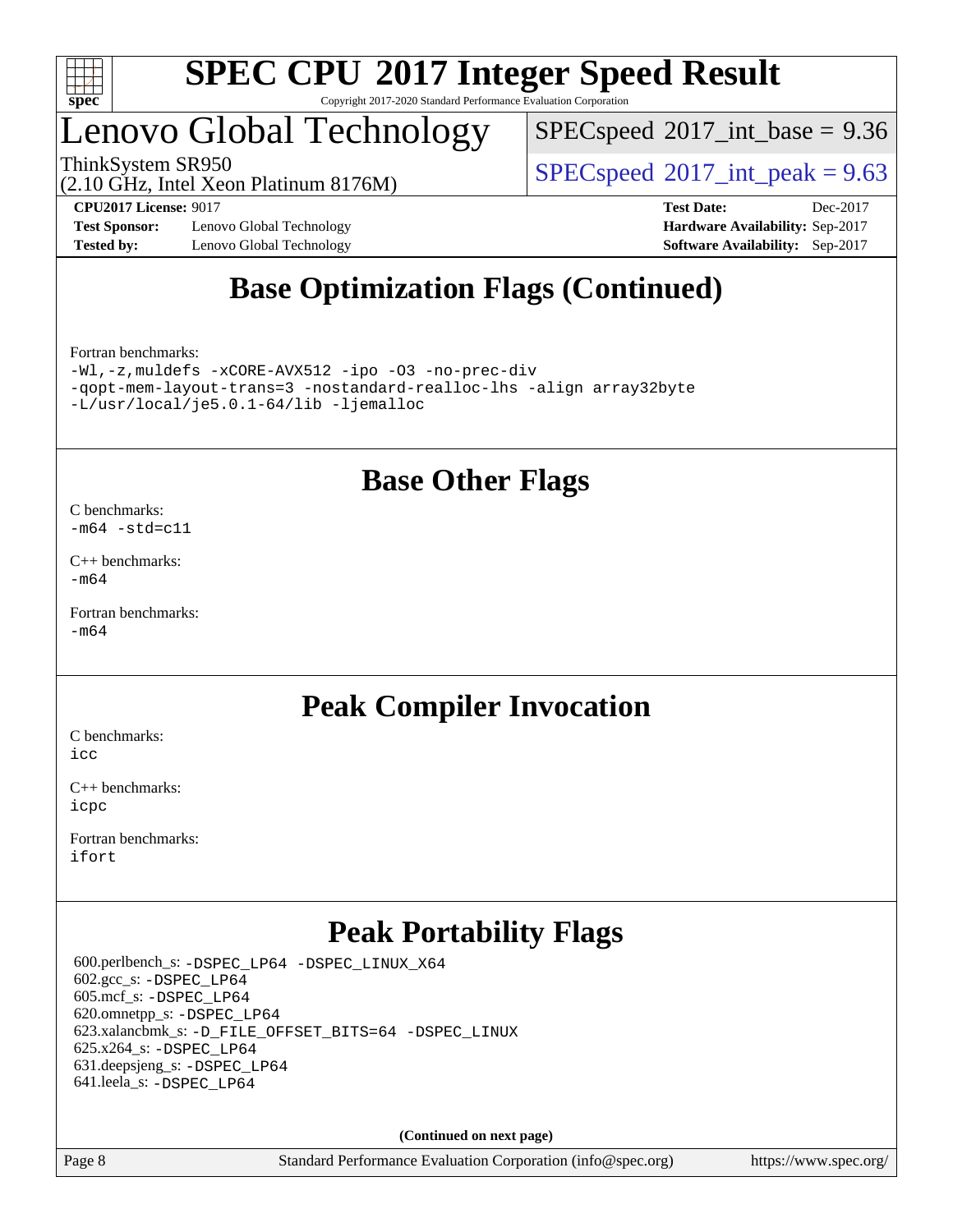

# Lenovo Global Technology

(2.10 GHz, Intel Xeon Platinum 8176M)

 $SPECspeed^{\circ}2017\_int\_base = 9.36$  $SPECspeed^{\circ}2017\_int\_base = 9.36$ 

ThinkSystem SR950<br>  $SPECspeed^{\circ}2017$  $SPECspeed^{\circ}2017$ \_int\_peak = 9.63

**[Test Sponsor:](http://www.spec.org/auto/cpu2017/Docs/result-fields.html#TestSponsor)** Lenovo Global Technology **[Hardware Availability:](http://www.spec.org/auto/cpu2017/Docs/result-fields.html#HardwareAvailability)** Sep-2017 **[Tested by:](http://www.spec.org/auto/cpu2017/Docs/result-fields.html#Testedby)** Lenovo Global Technology **[Software Availability:](http://www.spec.org/auto/cpu2017/Docs/result-fields.html#SoftwareAvailability)** Sep-2017

**[CPU2017 License:](http://www.spec.org/auto/cpu2017/Docs/result-fields.html#CPU2017License)** 9017 **[Test Date:](http://www.spec.org/auto/cpu2017/Docs/result-fields.html#TestDate)** Dec-2017

# **[Base Optimization Flags \(Continued\)](http://www.spec.org/auto/cpu2017/Docs/result-fields.html#BaseOptimizationFlags)**

[Fortran benchmarks](http://www.spec.org/auto/cpu2017/Docs/result-fields.html#Fortranbenchmarks):

[-Wl,-z,muldefs](http://www.spec.org/cpu2017/results/res2018q1/cpu2017-20171223-01955.flags.html#user_FCbase_link_force_multiple1_b4cbdb97b34bdee9ceefcfe54f4c8ea74255f0b02a4b23e853cdb0e18eb4525ac79b5a88067c842dd0ee6996c24547a27a4b99331201badda8798ef8a743f577) [-xCORE-AVX512](http://www.spec.org/cpu2017/results/res2018q1/cpu2017-20171223-01955.flags.html#user_FCbase_f-xCORE-AVX512) [-ipo](http://www.spec.org/cpu2017/results/res2018q1/cpu2017-20171223-01955.flags.html#user_FCbase_f-ipo) [-O3](http://www.spec.org/cpu2017/results/res2018q1/cpu2017-20171223-01955.flags.html#user_FCbase_f-O3) [-no-prec-div](http://www.spec.org/cpu2017/results/res2018q1/cpu2017-20171223-01955.flags.html#user_FCbase_f-no-prec-div) [-qopt-mem-layout-trans=3](http://www.spec.org/cpu2017/results/res2018q1/cpu2017-20171223-01955.flags.html#user_FCbase_f-qopt-mem-layout-trans_de80db37974c74b1f0e20d883f0b675c88c3b01e9d123adea9b28688d64333345fb62bc4a798493513fdb68f60282f9a726aa07f478b2f7113531aecce732043) [-nostandard-realloc-lhs](http://www.spec.org/cpu2017/results/res2018q1/cpu2017-20171223-01955.flags.html#user_FCbase_f_2003_std_realloc_82b4557e90729c0f113870c07e44d33d6f5a304b4f63d4c15d2d0f1fab99f5daaed73bdb9275d9ae411527f28b936061aa8b9c8f2d63842963b95c9dd6426b8a) [-align array32byte](http://www.spec.org/cpu2017/results/res2018q1/cpu2017-20171223-01955.flags.html#user_FCbase_align_array32byte_b982fe038af199962ba9a80c053b8342c548c85b40b8e86eb3cc33dee0d7986a4af373ac2d51c3f7cf710a18d62fdce2948f201cd044323541f22fc0fffc51b6) [-L/usr/local/je5.0.1-64/lib](http://www.spec.org/cpu2017/results/res2018q1/cpu2017-20171223-01955.flags.html#user_FCbase_jemalloc_link_path64_4b10a636b7bce113509b17f3bd0d6226c5fb2346b9178c2d0232c14f04ab830f976640479e5c33dc2bcbbdad86ecfb6634cbbd4418746f06f368b512fced5394) [-ljemalloc](http://www.spec.org/cpu2017/results/res2018q1/cpu2017-20171223-01955.flags.html#user_FCbase_jemalloc_link_lib_d1249b907c500fa1c0672f44f562e3d0f79738ae9e3c4a9c376d49f265a04b9c99b167ecedbf6711b3085be911c67ff61f150a17b3472be731631ba4d0471706)

### **[Base Other Flags](http://www.spec.org/auto/cpu2017/Docs/result-fields.html#BaseOtherFlags)**

[C benchmarks](http://www.spec.org/auto/cpu2017/Docs/result-fields.html#Cbenchmarks):

 $-m64 - std= c11$  $-m64 - std= c11$ 

[C++ benchmarks:](http://www.spec.org/auto/cpu2017/Docs/result-fields.html#CXXbenchmarks) [-m64](http://www.spec.org/cpu2017/results/res2018q1/cpu2017-20171223-01955.flags.html#user_CXXbase_intel_intel64_18.0_af43caccfc8ded86e7699f2159af6efc7655f51387b94da716254467f3c01020a5059329e2569e4053f409e7c9202a7efc638f7a6d1ffb3f52dea4a3e31d82ab)

[Fortran benchmarks](http://www.spec.org/auto/cpu2017/Docs/result-fields.html#Fortranbenchmarks):  $-m64$ 

## **[Peak Compiler Invocation](http://www.spec.org/auto/cpu2017/Docs/result-fields.html#PeakCompilerInvocation)**

[C benchmarks](http://www.spec.org/auto/cpu2017/Docs/result-fields.html#Cbenchmarks): [icc](http://www.spec.org/cpu2017/results/res2018q1/cpu2017-20171223-01955.flags.html#user_CCpeak_intel_icc_18.0_66fc1ee009f7361af1fbd72ca7dcefbb700085f36577c54f309893dd4ec40d12360134090235512931783d35fd58c0460139e722d5067c5574d8eaf2b3e37e92)

[C++ benchmarks:](http://www.spec.org/auto/cpu2017/Docs/result-fields.html#CXXbenchmarks) [icpc](http://www.spec.org/cpu2017/results/res2018q1/cpu2017-20171223-01955.flags.html#user_CXXpeak_intel_icpc_18.0_c510b6838c7f56d33e37e94d029a35b4a7bccf4766a728ee175e80a419847e808290a9b78be685c44ab727ea267ec2f070ec5dc83b407c0218cded6866a35d07)

[Fortran benchmarks](http://www.spec.org/auto/cpu2017/Docs/result-fields.html#Fortranbenchmarks): [ifort](http://www.spec.org/cpu2017/results/res2018q1/cpu2017-20171223-01955.flags.html#user_FCpeak_intel_ifort_18.0_8111460550e3ca792625aed983ce982f94888b8b503583aa7ba2b8303487b4d8a21a13e7191a45c5fd58ff318f48f9492884d4413fa793fd88dd292cad7027ca)

# **[Peak Portability Flags](http://www.spec.org/auto/cpu2017/Docs/result-fields.html#PeakPortabilityFlags)**

 600.perlbench\_s: [-DSPEC\\_LP64](http://www.spec.org/cpu2017/results/res2018q1/cpu2017-20171223-01955.flags.html#b600.perlbench_s_peakPORTABILITY_DSPEC_LP64) [-DSPEC\\_LINUX\\_X64](http://www.spec.org/cpu2017/results/res2018q1/cpu2017-20171223-01955.flags.html#b600.perlbench_s_peakCPORTABILITY_DSPEC_LINUX_X64) 602.gcc\_s: [-DSPEC\\_LP64](http://www.spec.org/cpu2017/results/res2018q1/cpu2017-20171223-01955.flags.html#suite_peakPORTABILITY602_gcc_s_DSPEC_LP64) 605.mcf\_s: [-DSPEC\\_LP64](http://www.spec.org/cpu2017/results/res2018q1/cpu2017-20171223-01955.flags.html#suite_peakPORTABILITY605_mcf_s_DSPEC_LP64) 620.omnetpp\_s: [-DSPEC\\_LP64](http://www.spec.org/cpu2017/results/res2018q1/cpu2017-20171223-01955.flags.html#suite_peakPORTABILITY620_omnetpp_s_DSPEC_LP64) 623.xalancbmk\_s: [-D\\_FILE\\_OFFSET\\_BITS=64](http://www.spec.org/cpu2017/results/res2018q1/cpu2017-20171223-01955.flags.html#user_peakPORTABILITY623_xalancbmk_s_file_offset_bits_64_5ae949a99b284ddf4e95728d47cb0843d81b2eb0e18bdfe74bbf0f61d0b064f4bda2f10ea5eb90e1dcab0e84dbc592acfc5018bc955c18609f94ddb8d550002c) [-DSPEC\\_LINUX](http://www.spec.org/cpu2017/results/res2018q1/cpu2017-20171223-01955.flags.html#b623.xalancbmk_s_peakCXXPORTABILITY_DSPEC_LINUX) 625.x264\_s: [-DSPEC\\_LP64](http://www.spec.org/cpu2017/results/res2018q1/cpu2017-20171223-01955.flags.html#suite_peakPORTABILITY625_x264_s_DSPEC_LP64) 631.deepsjeng\_s: [-DSPEC\\_LP64](http://www.spec.org/cpu2017/results/res2018q1/cpu2017-20171223-01955.flags.html#suite_peakPORTABILITY631_deepsjeng_s_DSPEC_LP64) 641.leela\_s: [-DSPEC\\_LP64](http://www.spec.org/cpu2017/results/res2018q1/cpu2017-20171223-01955.flags.html#suite_peakPORTABILITY641_leela_s_DSPEC_LP64)

**(Continued on next page)**

Page 8 Standard Performance Evaluation Corporation [\(info@spec.org\)](mailto:info@spec.org) <https://www.spec.org/>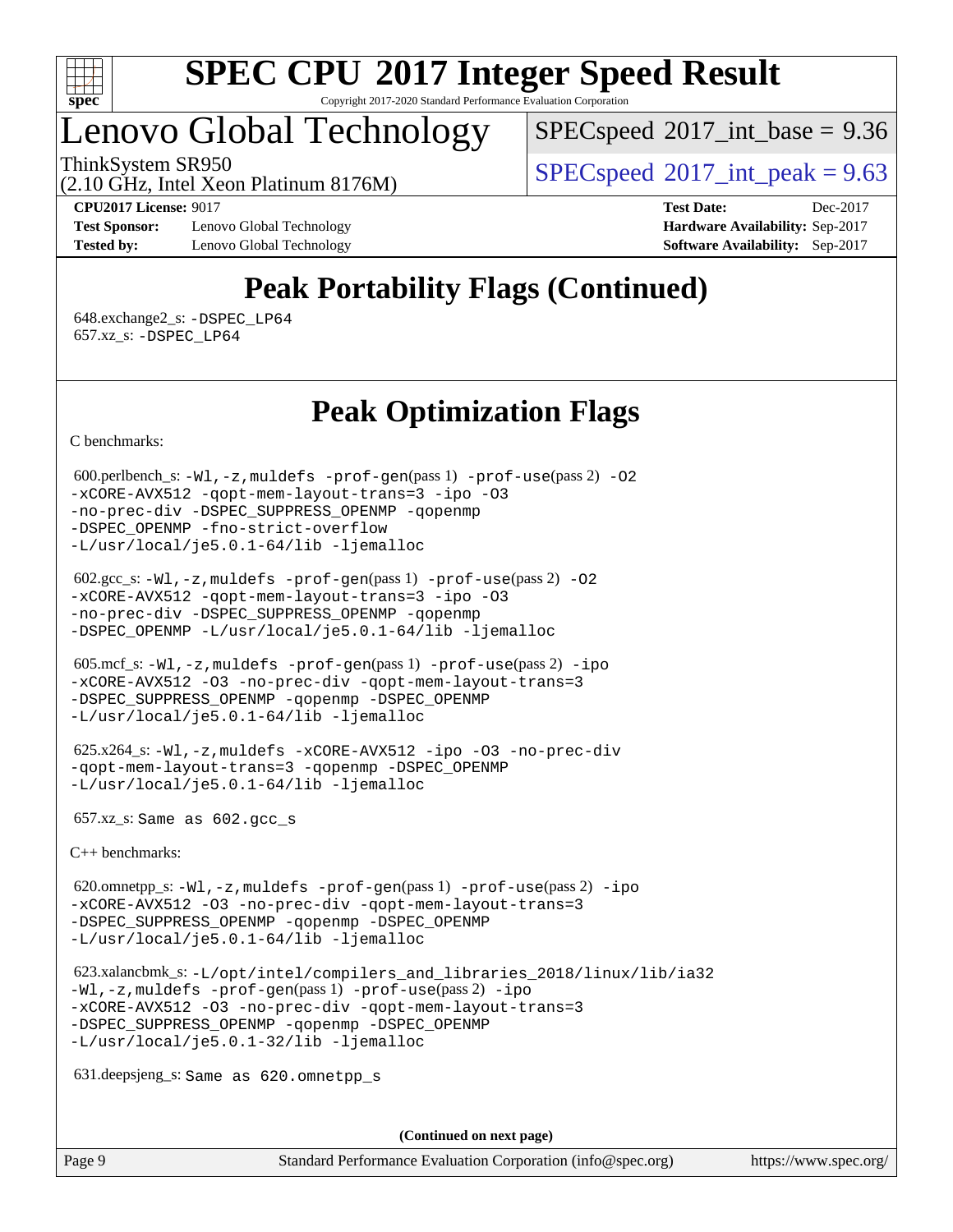

# Lenovo Global Technology

 $SPECspeed^{\circledcirc}2017\_int\_base = 9.36$  $SPECspeed^{\circledcirc}2017\_int\_base = 9.36$ 

ThinkSystem SR950<br>  $SPECspeed^{\circ}2017$  $SPECspeed^{\circ}2017$ \_int\_peak = 9.63

(2.10 GHz, Intel Xeon Platinum 8176M)

**[Test Sponsor:](http://www.spec.org/auto/cpu2017/Docs/result-fields.html#TestSponsor)** Lenovo Global Technology **[Hardware Availability:](http://www.spec.org/auto/cpu2017/Docs/result-fields.html#HardwareAvailability)** Sep-2017 **[Tested by:](http://www.spec.org/auto/cpu2017/Docs/result-fields.html#Testedby)** Lenovo Global Technology **[Software Availability:](http://www.spec.org/auto/cpu2017/Docs/result-fields.html#SoftwareAvailability)** Sep-2017

**[CPU2017 License:](http://www.spec.org/auto/cpu2017/Docs/result-fields.html#CPU2017License)** 9017 **[Test Date:](http://www.spec.org/auto/cpu2017/Docs/result-fields.html#TestDate)** Dec-2017

# **[Peak Portability Flags \(Continued\)](http://www.spec.org/auto/cpu2017/Docs/result-fields.html#PeakPortabilityFlags)**

 648.exchange2\_s: [-DSPEC\\_LP64](http://www.spec.org/cpu2017/results/res2018q1/cpu2017-20171223-01955.flags.html#suite_peakPORTABILITY648_exchange2_s_DSPEC_LP64) 657.xz\_s: [-DSPEC\\_LP64](http://www.spec.org/cpu2017/results/res2018q1/cpu2017-20171223-01955.flags.html#suite_peakPORTABILITY657_xz_s_DSPEC_LP64)

### **[Peak Optimization Flags](http://www.spec.org/auto/cpu2017/Docs/result-fields.html#PeakOptimizationFlags)**

[C benchmarks](http://www.spec.org/auto/cpu2017/Docs/result-fields.html#Cbenchmarks):

 600.perlbench\_s: [-Wl,-z,muldefs](http://www.spec.org/cpu2017/results/res2018q1/cpu2017-20171223-01955.flags.html#user_peakEXTRA_LDFLAGS600_perlbench_s_link_force_multiple1_b4cbdb97b34bdee9ceefcfe54f4c8ea74255f0b02a4b23e853cdb0e18eb4525ac79b5a88067c842dd0ee6996c24547a27a4b99331201badda8798ef8a743f577) [-prof-gen](http://www.spec.org/cpu2017/results/res2018q1/cpu2017-20171223-01955.flags.html#user_peakPASS1_CFLAGSPASS1_LDFLAGS600_perlbench_s_prof_gen_5aa4926d6013ddb2a31985c654b3eb18169fc0c6952a63635c234f711e6e63dd76e94ad52365559451ec499a2cdb89e4dc58ba4c67ef54ca681ffbe1461d6b36)(pass 1) [-prof-use](http://www.spec.org/cpu2017/results/res2018q1/cpu2017-20171223-01955.flags.html#user_peakPASS2_CFLAGSPASS2_LDFLAGS600_perlbench_s_prof_use_1a21ceae95f36a2b53c25747139a6c16ca95bd9def2a207b4f0849963b97e94f5260e30a0c64f4bb623698870e679ca08317ef8150905d41bd88c6f78df73f19)(pass 2) [-O2](http://www.spec.org/cpu2017/results/res2018q1/cpu2017-20171223-01955.flags.html#user_peakPASS1_COPTIMIZE600_perlbench_s_f-O2) [-xCORE-AVX512](http://www.spec.org/cpu2017/results/res2018q1/cpu2017-20171223-01955.flags.html#user_peakPASS2_COPTIMIZE600_perlbench_s_f-xCORE-AVX512) [-qopt-mem-layout-trans=3](http://www.spec.org/cpu2017/results/res2018q1/cpu2017-20171223-01955.flags.html#user_peakPASS1_COPTIMIZEPASS2_COPTIMIZE600_perlbench_s_f-qopt-mem-layout-trans_de80db37974c74b1f0e20d883f0b675c88c3b01e9d123adea9b28688d64333345fb62bc4a798493513fdb68f60282f9a726aa07f478b2f7113531aecce732043) [-ipo](http://www.spec.org/cpu2017/results/res2018q1/cpu2017-20171223-01955.flags.html#user_peakPASS2_COPTIMIZE600_perlbench_s_f-ipo) [-O3](http://www.spec.org/cpu2017/results/res2018q1/cpu2017-20171223-01955.flags.html#user_peakPASS2_COPTIMIZE600_perlbench_s_f-O3) [-no-prec-div](http://www.spec.org/cpu2017/results/res2018q1/cpu2017-20171223-01955.flags.html#user_peakPASS2_COPTIMIZE600_perlbench_s_f-no-prec-div) [-DSPEC\\_SUPPRESS\\_OPENMP](http://www.spec.org/cpu2017/results/res2018q1/cpu2017-20171223-01955.flags.html#suite_peakPASS1_COPTIMIZE600_perlbench_s_DSPEC_SUPPRESS_OPENMP) [-qopenmp](http://www.spec.org/cpu2017/results/res2018q1/cpu2017-20171223-01955.flags.html#user_peakPASS2_COPTIMIZE600_perlbench_s_qopenmp_16be0c44f24f464004c6784a7acb94aca937f053568ce72f94b139a11c7c168634a55f6653758ddd83bcf7b8463e8028bb0b48b77bcddc6b78d5d95bb1df2967) [-DSPEC\\_OPENMP](http://www.spec.org/cpu2017/results/res2018q1/cpu2017-20171223-01955.flags.html#suite_peakPASS2_COPTIMIZE600_perlbench_s_DSPEC_OPENMP) [-fno-strict-overflow](http://www.spec.org/cpu2017/results/res2018q1/cpu2017-20171223-01955.flags.html#user_peakEXTRA_OPTIMIZE600_perlbench_s_f-fno-strict-overflow) [-L/usr/local/je5.0.1-64/lib](http://www.spec.org/cpu2017/results/res2018q1/cpu2017-20171223-01955.flags.html#user_peakEXTRA_LIBS600_perlbench_s_jemalloc_link_path64_4b10a636b7bce113509b17f3bd0d6226c5fb2346b9178c2d0232c14f04ab830f976640479e5c33dc2bcbbdad86ecfb6634cbbd4418746f06f368b512fced5394) [-ljemalloc](http://www.spec.org/cpu2017/results/res2018q1/cpu2017-20171223-01955.flags.html#user_peakEXTRA_LIBS600_perlbench_s_jemalloc_link_lib_d1249b907c500fa1c0672f44f562e3d0f79738ae9e3c4a9c376d49f265a04b9c99b167ecedbf6711b3085be911c67ff61f150a17b3472be731631ba4d0471706)

```
 602.gcc_s: -Wl,-z,muldefs -prof-gen(pass 1) -prof-use(pass 2) -O2
-xCORE-AVX512 -qopt-mem-layout-trans=3 -ipo -O3
-no-prec-div -DSPEC_SUPPRESS_OPENMP -qopenmp
-DSPEC_OPENMP -L/usr/local/je5.0.1-64/lib -ljemalloc
```
 605.mcf\_s: [-Wl,-z,muldefs](http://www.spec.org/cpu2017/results/res2018q1/cpu2017-20171223-01955.flags.html#user_peakEXTRA_LDFLAGS605_mcf_s_link_force_multiple1_b4cbdb97b34bdee9ceefcfe54f4c8ea74255f0b02a4b23e853cdb0e18eb4525ac79b5a88067c842dd0ee6996c24547a27a4b99331201badda8798ef8a743f577) [-prof-gen](http://www.spec.org/cpu2017/results/res2018q1/cpu2017-20171223-01955.flags.html#user_peakPASS1_CFLAGSPASS1_LDFLAGS605_mcf_s_prof_gen_5aa4926d6013ddb2a31985c654b3eb18169fc0c6952a63635c234f711e6e63dd76e94ad52365559451ec499a2cdb89e4dc58ba4c67ef54ca681ffbe1461d6b36)(pass 1) [-prof-use](http://www.spec.org/cpu2017/results/res2018q1/cpu2017-20171223-01955.flags.html#user_peakPASS2_CFLAGSPASS2_LDFLAGS605_mcf_s_prof_use_1a21ceae95f36a2b53c25747139a6c16ca95bd9def2a207b4f0849963b97e94f5260e30a0c64f4bb623698870e679ca08317ef8150905d41bd88c6f78df73f19)(pass 2) [-ipo](http://www.spec.org/cpu2017/results/res2018q1/cpu2017-20171223-01955.flags.html#user_peakPASS1_COPTIMIZEPASS2_COPTIMIZE605_mcf_s_f-ipo) [-xCORE-AVX512](http://www.spec.org/cpu2017/results/res2018q1/cpu2017-20171223-01955.flags.html#user_peakPASS2_COPTIMIZE605_mcf_s_f-xCORE-AVX512) [-O3](http://www.spec.org/cpu2017/results/res2018q1/cpu2017-20171223-01955.flags.html#user_peakPASS1_COPTIMIZEPASS2_COPTIMIZE605_mcf_s_f-O3) [-no-prec-div](http://www.spec.org/cpu2017/results/res2018q1/cpu2017-20171223-01955.flags.html#user_peakPASS1_COPTIMIZEPASS2_COPTIMIZE605_mcf_s_f-no-prec-div) [-qopt-mem-layout-trans=3](http://www.spec.org/cpu2017/results/res2018q1/cpu2017-20171223-01955.flags.html#user_peakPASS1_COPTIMIZEPASS2_COPTIMIZE605_mcf_s_f-qopt-mem-layout-trans_de80db37974c74b1f0e20d883f0b675c88c3b01e9d123adea9b28688d64333345fb62bc4a798493513fdb68f60282f9a726aa07f478b2f7113531aecce732043) [-DSPEC\\_SUPPRESS\\_OPENMP](http://www.spec.org/cpu2017/results/res2018q1/cpu2017-20171223-01955.flags.html#suite_peakPASS1_COPTIMIZE605_mcf_s_DSPEC_SUPPRESS_OPENMP) [-qopenmp](http://www.spec.org/cpu2017/results/res2018q1/cpu2017-20171223-01955.flags.html#user_peakPASS2_COPTIMIZE605_mcf_s_qopenmp_16be0c44f24f464004c6784a7acb94aca937f053568ce72f94b139a11c7c168634a55f6653758ddd83bcf7b8463e8028bb0b48b77bcddc6b78d5d95bb1df2967) [-DSPEC\\_OPENMP](http://www.spec.org/cpu2017/results/res2018q1/cpu2017-20171223-01955.flags.html#suite_peakPASS2_COPTIMIZE605_mcf_s_DSPEC_OPENMP) [-L/usr/local/je5.0.1-64/lib](http://www.spec.org/cpu2017/results/res2018q1/cpu2017-20171223-01955.flags.html#user_peakEXTRA_LIBS605_mcf_s_jemalloc_link_path64_4b10a636b7bce113509b17f3bd0d6226c5fb2346b9178c2d0232c14f04ab830f976640479e5c33dc2bcbbdad86ecfb6634cbbd4418746f06f368b512fced5394) [-ljemalloc](http://www.spec.org/cpu2017/results/res2018q1/cpu2017-20171223-01955.flags.html#user_peakEXTRA_LIBS605_mcf_s_jemalloc_link_lib_d1249b907c500fa1c0672f44f562e3d0f79738ae9e3c4a9c376d49f265a04b9c99b167ecedbf6711b3085be911c67ff61f150a17b3472be731631ba4d0471706)

 625.x264\_s: [-Wl,-z,muldefs](http://www.spec.org/cpu2017/results/res2018q1/cpu2017-20171223-01955.flags.html#user_peakEXTRA_LDFLAGS625_x264_s_link_force_multiple1_b4cbdb97b34bdee9ceefcfe54f4c8ea74255f0b02a4b23e853cdb0e18eb4525ac79b5a88067c842dd0ee6996c24547a27a4b99331201badda8798ef8a743f577) [-xCORE-AVX512](http://www.spec.org/cpu2017/results/res2018q1/cpu2017-20171223-01955.flags.html#user_peakCOPTIMIZE625_x264_s_f-xCORE-AVX512) [-ipo](http://www.spec.org/cpu2017/results/res2018q1/cpu2017-20171223-01955.flags.html#user_peakCOPTIMIZE625_x264_s_f-ipo) [-O3](http://www.spec.org/cpu2017/results/res2018q1/cpu2017-20171223-01955.flags.html#user_peakCOPTIMIZE625_x264_s_f-O3) [-no-prec-div](http://www.spec.org/cpu2017/results/res2018q1/cpu2017-20171223-01955.flags.html#user_peakCOPTIMIZE625_x264_s_f-no-prec-div) [-qopt-mem-layout-trans=3](http://www.spec.org/cpu2017/results/res2018q1/cpu2017-20171223-01955.flags.html#user_peakCOPTIMIZE625_x264_s_f-qopt-mem-layout-trans_de80db37974c74b1f0e20d883f0b675c88c3b01e9d123adea9b28688d64333345fb62bc4a798493513fdb68f60282f9a726aa07f478b2f7113531aecce732043) [-qopenmp](http://www.spec.org/cpu2017/results/res2018q1/cpu2017-20171223-01955.flags.html#user_peakCOPTIMIZE625_x264_s_qopenmp_16be0c44f24f464004c6784a7acb94aca937f053568ce72f94b139a11c7c168634a55f6653758ddd83bcf7b8463e8028bb0b48b77bcddc6b78d5d95bb1df2967) [-DSPEC\\_OPENMP](http://www.spec.org/cpu2017/results/res2018q1/cpu2017-20171223-01955.flags.html#suite_peakCOPTIMIZE625_x264_s_DSPEC_OPENMP) [-L/usr/local/je5.0.1-64/lib](http://www.spec.org/cpu2017/results/res2018q1/cpu2017-20171223-01955.flags.html#user_peakEXTRA_LIBS625_x264_s_jemalloc_link_path64_4b10a636b7bce113509b17f3bd0d6226c5fb2346b9178c2d0232c14f04ab830f976640479e5c33dc2bcbbdad86ecfb6634cbbd4418746f06f368b512fced5394) [-ljemalloc](http://www.spec.org/cpu2017/results/res2018q1/cpu2017-20171223-01955.flags.html#user_peakEXTRA_LIBS625_x264_s_jemalloc_link_lib_d1249b907c500fa1c0672f44f562e3d0f79738ae9e3c4a9c376d49f265a04b9c99b167ecedbf6711b3085be911c67ff61f150a17b3472be731631ba4d0471706)

657.xz\_s: Same as 602.gcc\_s

[C++ benchmarks:](http://www.spec.org/auto/cpu2017/Docs/result-fields.html#CXXbenchmarks)

 620.omnetpp\_s: [-Wl,-z,muldefs](http://www.spec.org/cpu2017/results/res2018q1/cpu2017-20171223-01955.flags.html#user_peakEXTRA_LDFLAGS620_omnetpp_s_link_force_multiple1_b4cbdb97b34bdee9ceefcfe54f4c8ea74255f0b02a4b23e853cdb0e18eb4525ac79b5a88067c842dd0ee6996c24547a27a4b99331201badda8798ef8a743f577) [-prof-gen](http://www.spec.org/cpu2017/results/res2018q1/cpu2017-20171223-01955.flags.html#user_peakPASS1_CXXFLAGSPASS1_LDFLAGS620_omnetpp_s_prof_gen_5aa4926d6013ddb2a31985c654b3eb18169fc0c6952a63635c234f711e6e63dd76e94ad52365559451ec499a2cdb89e4dc58ba4c67ef54ca681ffbe1461d6b36)(pass 1) [-prof-use](http://www.spec.org/cpu2017/results/res2018q1/cpu2017-20171223-01955.flags.html#user_peakPASS2_CXXFLAGSPASS2_LDFLAGS620_omnetpp_s_prof_use_1a21ceae95f36a2b53c25747139a6c16ca95bd9def2a207b4f0849963b97e94f5260e30a0c64f4bb623698870e679ca08317ef8150905d41bd88c6f78df73f19)(pass 2) [-ipo](http://www.spec.org/cpu2017/results/res2018q1/cpu2017-20171223-01955.flags.html#user_peakPASS1_CXXOPTIMIZEPASS2_CXXOPTIMIZE620_omnetpp_s_f-ipo) [-xCORE-AVX512](http://www.spec.org/cpu2017/results/res2018q1/cpu2017-20171223-01955.flags.html#user_peakPASS2_CXXOPTIMIZE620_omnetpp_s_f-xCORE-AVX512) [-O3](http://www.spec.org/cpu2017/results/res2018q1/cpu2017-20171223-01955.flags.html#user_peakPASS1_CXXOPTIMIZEPASS2_CXXOPTIMIZE620_omnetpp_s_f-O3) [-no-prec-div](http://www.spec.org/cpu2017/results/res2018q1/cpu2017-20171223-01955.flags.html#user_peakPASS1_CXXOPTIMIZEPASS2_CXXOPTIMIZE620_omnetpp_s_f-no-prec-div) [-qopt-mem-layout-trans=3](http://www.spec.org/cpu2017/results/res2018q1/cpu2017-20171223-01955.flags.html#user_peakPASS1_CXXOPTIMIZEPASS2_CXXOPTIMIZE620_omnetpp_s_f-qopt-mem-layout-trans_de80db37974c74b1f0e20d883f0b675c88c3b01e9d123adea9b28688d64333345fb62bc4a798493513fdb68f60282f9a726aa07f478b2f7113531aecce732043) [-DSPEC\\_SUPPRESS\\_OPENMP](http://www.spec.org/cpu2017/results/res2018q1/cpu2017-20171223-01955.flags.html#suite_peakPASS1_CXXOPTIMIZE620_omnetpp_s_DSPEC_SUPPRESS_OPENMP) [-qopenmp](http://www.spec.org/cpu2017/results/res2018q1/cpu2017-20171223-01955.flags.html#user_peakPASS2_CXXOPTIMIZE620_omnetpp_s_qopenmp_16be0c44f24f464004c6784a7acb94aca937f053568ce72f94b139a11c7c168634a55f6653758ddd83bcf7b8463e8028bb0b48b77bcddc6b78d5d95bb1df2967) [-DSPEC\\_OPENMP](http://www.spec.org/cpu2017/results/res2018q1/cpu2017-20171223-01955.flags.html#suite_peakPASS2_CXXOPTIMIZE620_omnetpp_s_DSPEC_OPENMP) [-L/usr/local/je5.0.1-64/lib](http://www.spec.org/cpu2017/results/res2018q1/cpu2017-20171223-01955.flags.html#user_peakEXTRA_LIBS620_omnetpp_s_jemalloc_link_path64_4b10a636b7bce113509b17f3bd0d6226c5fb2346b9178c2d0232c14f04ab830f976640479e5c33dc2bcbbdad86ecfb6634cbbd4418746f06f368b512fced5394) [-ljemalloc](http://www.spec.org/cpu2017/results/res2018q1/cpu2017-20171223-01955.flags.html#user_peakEXTRA_LIBS620_omnetpp_s_jemalloc_link_lib_d1249b907c500fa1c0672f44f562e3d0f79738ae9e3c4a9c376d49f265a04b9c99b167ecedbf6711b3085be911c67ff61f150a17b3472be731631ba4d0471706)

 623.xalancbmk\_s: [-L/opt/intel/compilers\\_and\\_libraries\\_2018/linux/lib/ia32](http://www.spec.org/cpu2017/results/res2018q1/cpu2017-20171223-01955.flags.html#user_peakCXXLD623_xalancbmk_s_Enable-32bit-runtime_af243bdb1d79e4c7a4f720bf8275e627de2ecd461de63307bc14cef0633fde3cd7bb2facb32dcc8be9566045fb55d40ce2b72b725f73827aa7833441b71b9343) [-Wl,-z,muldefs](http://www.spec.org/cpu2017/results/res2018q1/cpu2017-20171223-01955.flags.html#user_peakEXTRA_LDFLAGS623_xalancbmk_s_link_force_multiple1_b4cbdb97b34bdee9ceefcfe54f4c8ea74255f0b02a4b23e853cdb0e18eb4525ac79b5a88067c842dd0ee6996c24547a27a4b99331201badda8798ef8a743f577) [-prof-gen](http://www.spec.org/cpu2017/results/res2018q1/cpu2017-20171223-01955.flags.html#user_peakPASS1_CXXFLAGSPASS1_LDFLAGS623_xalancbmk_s_prof_gen_5aa4926d6013ddb2a31985c654b3eb18169fc0c6952a63635c234f711e6e63dd76e94ad52365559451ec499a2cdb89e4dc58ba4c67ef54ca681ffbe1461d6b36)(pass 1) [-prof-use](http://www.spec.org/cpu2017/results/res2018q1/cpu2017-20171223-01955.flags.html#user_peakPASS2_CXXFLAGSPASS2_LDFLAGS623_xalancbmk_s_prof_use_1a21ceae95f36a2b53c25747139a6c16ca95bd9def2a207b4f0849963b97e94f5260e30a0c64f4bb623698870e679ca08317ef8150905d41bd88c6f78df73f19)(pass 2) [-ipo](http://www.spec.org/cpu2017/results/res2018q1/cpu2017-20171223-01955.flags.html#user_peakPASS1_CXXOPTIMIZEPASS2_CXXOPTIMIZE623_xalancbmk_s_f-ipo) [-xCORE-AVX512](http://www.spec.org/cpu2017/results/res2018q1/cpu2017-20171223-01955.flags.html#user_peakPASS2_CXXOPTIMIZE623_xalancbmk_s_f-xCORE-AVX512) [-O3](http://www.spec.org/cpu2017/results/res2018q1/cpu2017-20171223-01955.flags.html#user_peakPASS1_CXXOPTIMIZEPASS2_CXXOPTIMIZE623_xalancbmk_s_f-O3) [-no-prec-div](http://www.spec.org/cpu2017/results/res2018q1/cpu2017-20171223-01955.flags.html#user_peakPASS1_CXXOPTIMIZEPASS2_CXXOPTIMIZE623_xalancbmk_s_f-no-prec-div) [-qopt-mem-layout-trans=3](http://www.spec.org/cpu2017/results/res2018q1/cpu2017-20171223-01955.flags.html#user_peakPASS1_CXXOPTIMIZEPASS2_CXXOPTIMIZE623_xalancbmk_s_f-qopt-mem-layout-trans_de80db37974c74b1f0e20d883f0b675c88c3b01e9d123adea9b28688d64333345fb62bc4a798493513fdb68f60282f9a726aa07f478b2f7113531aecce732043) [-DSPEC\\_SUPPRESS\\_OPENMP](http://www.spec.org/cpu2017/results/res2018q1/cpu2017-20171223-01955.flags.html#suite_peakPASS1_CXXOPTIMIZE623_xalancbmk_s_DSPEC_SUPPRESS_OPENMP) [-qopenmp](http://www.spec.org/cpu2017/results/res2018q1/cpu2017-20171223-01955.flags.html#user_peakPASS2_CXXOPTIMIZE623_xalancbmk_s_qopenmp_16be0c44f24f464004c6784a7acb94aca937f053568ce72f94b139a11c7c168634a55f6653758ddd83bcf7b8463e8028bb0b48b77bcddc6b78d5d95bb1df2967) [-DSPEC\\_OPENMP](http://www.spec.org/cpu2017/results/res2018q1/cpu2017-20171223-01955.flags.html#suite_peakPASS2_CXXOPTIMIZE623_xalancbmk_s_DSPEC_OPENMP) [-L/usr/local/je5.0.1-32/lib](http://www.spec.org/cpu2017/results/res2018q1/cpu2017-20171223-01955.flags.html#user_peakEXTRA_LIBS623_xalancbmk_s_jemalloc_link_path32_e29f22e8e6c17053bbc6a0971f5a9c01a601a06bb1a59df2084b77a2fe0a2995b64fd4256feaeea39eeba3aae142e96e2b2b0a28974019c0c0c88139a84f900a) [-ljemalloc](http://www.spec.org/cpu2017/results/res2018q1/cpu2017-20171223-01955.flags.html#user_peakEXTRA_LIBS623_xalancbmk_s_jemalloc_link_lib_d1249b907c500fa1c0672f44f562e3d0f79738ae9e3c4a9c376d49f265a04b9c99b167ecedbf6711b3085be911c67ff61f150a17b3472be731631ba4d0471706)

631.deepsjeng\_s: Same as 620.omnetpp\_s

**(Continued on next page)**